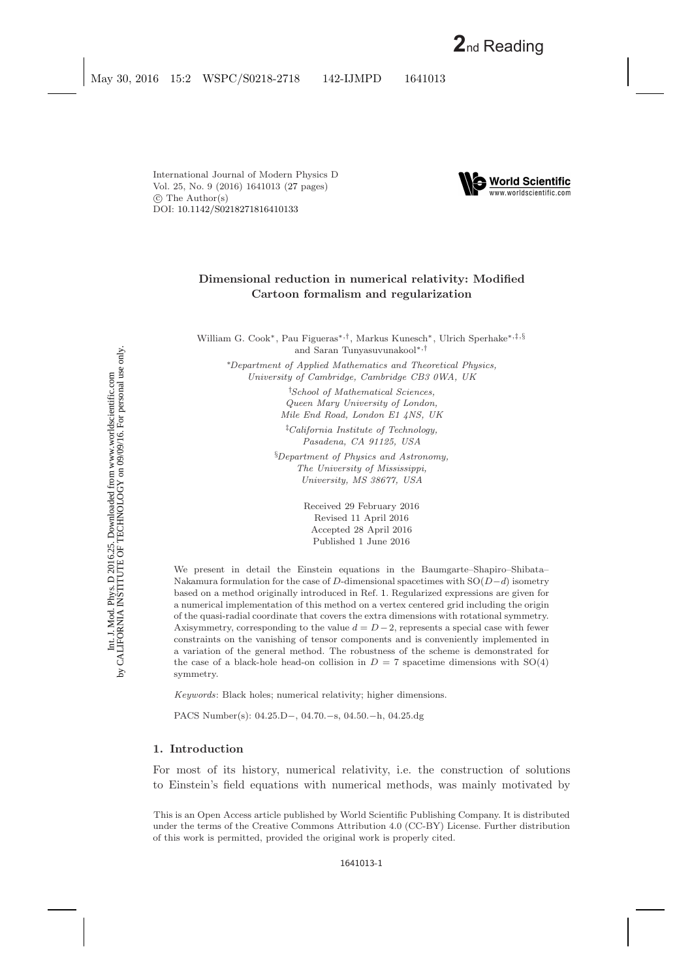International Journal of Modern Physics D Vol. 25, No. 9 (2016) 1641013 [\(27](#page-24-0) pages)  $\circled{c}$  The Author(s) DOI: [10.1142/S0218271816410133](http://dx.doi.org/10.1142/S0218271816410133)



# **Dimensional reduction in numerical relativity: Modified Cartoon formalism and regularization**

William G. Cook∗, Pau Figueras∗*,*†, Markus Kunesch∗, Ulrich Sperhake∗*,*‡*,*§ and Saran Tunyasuvunakool∗*,*†

∗*Department of Applied Mathematics and Theoretical Physics, University of Cambridge, Cambridge CB3 0WA, UK*

> † *School of Mathematical Sciences, Queen Mary University of London, Mile End Road, London E1 4NS, UK*

‡ *California Institute of Technology, Pasadena, CA 91125, USA*

§ *Department of Physics and Astronomy, The University of Mississippi, University, MS 38677, USA*

> Received 29 February 2016 Revised 11 April 2016 Accepted 28 April 2016 Published 1 June 2016

We present in detail the Einstein equations in the Baumgarte–Shapiro–Shibata– Nakamura formulation for the case of D-dimensional spacetimes with  $SO(D-d)$  isometry based on a method originally introduced in Ref. [1.](#page-24-1) Regularized expressions are given for a numerical implementation of this method on a vertex centered grid including the origin of the quasi-radial coordinate that covers the extra dimensions with rotational symmetry. Axisymmetry, corresponding to the value  $d = D - 2$ , represents a special case with fewer constraints on the vanishing of tensor components and is conveniently implemented in a variation of the general method. The robustness of the scheme is demonstrated for the case of a black-hole head-on collision in  $D = 7$  spacetime dimensions with  $SO(4)$ symmetry.

*Keywords*: Black holes; numerical relativity; higher dimensions.

PACS Number(s): 04.25.D−, 04.70.−s, 04.50.−h, 04.25.dg

### **1. Introduction**

For most of its history, numerical relativity, i.e. the construction of solutions to Einstein's field equations with numerical methods, was mainly motivated by

This is an Open Access article published by World Scientific Publishing Company. It is distributed under the terms of the Creative Commons Attribution 4.0 (CC-BY) License. Further distribution of this work is permitted, provided the original work is properly cited.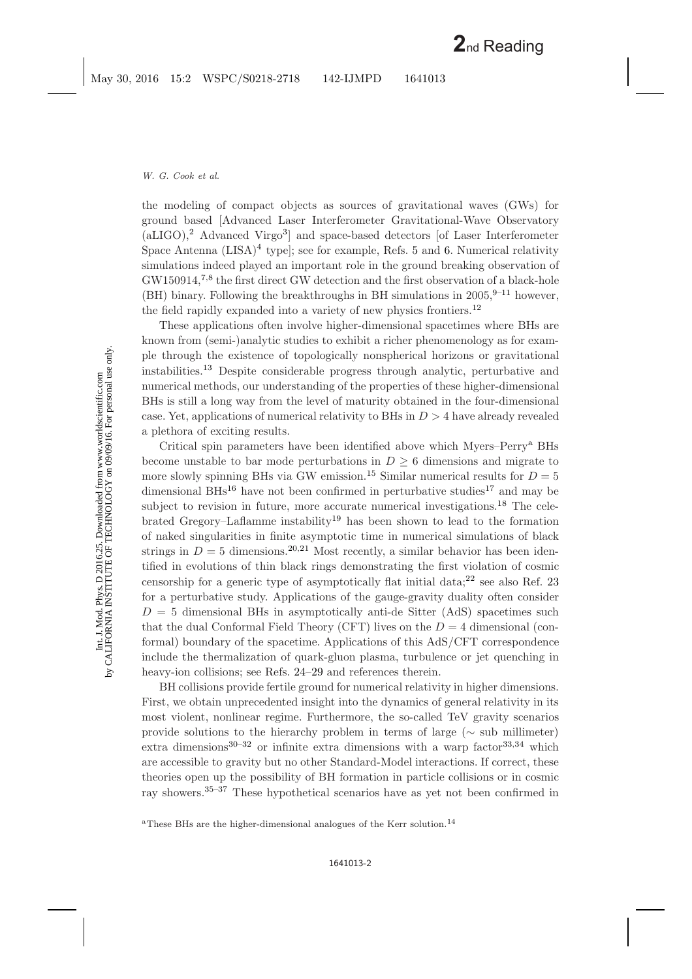the modeling of compact objects as sources of gravitational waves (GWs) for ground based [Advanced Laser Interferometer Gravitational-Wave Observatory  $(aLIGO)_i^2$  $(aLIGO)_i^2$  Advanced Virgo<sup>[3](#page-24-3)</sup> and space-based detectors [of Laser Interferometer Space Antenna  $(LISA)^4$  $(LISA)^4$  type]; see for example, Refs. [5](#page-24-5) and [6.](#page-24-6) Numerical relativity simulations indeed played an important role in the ground breaking observation of GW150914,<sup>[7,](#page-24-7)[8](#page-24-8)</sup> the first direct GW detection and the first observation of a black-hole (BH) binary. Following the breakthroughs in BH simulations in  $2005$ ,<sup>[9](#page-24-9)[–11](#page-24-10)</sup> however, the field rapidly expanded into a variety of new physics frontiers.[12](#page-24-11)

These applications often involve higher-dimensional spacetimes where BHs are known from (semi-)analytic studies to exhibit a richer phenomenology as for example through the existence of topologically nonspherical horizons or gravitational instabilities.[13](#page-24-12) Despite considerable progress through analytic, perturbative and numerical methods, our understanding of the properties of these higher-dimensional BHs is still a long way from the level of maturity obtained in the four-dimensional case. Yet, applications of numerical relativity to BHs in  $D > 4$  have already revealed a plethora of exciting results.

Critical spin parameters have been identified above which Myers–Perry[a](#page-1-0) BHs become unstable to bar mode perturbations in  $D \geq 6$  dimensions and migrate to more slowly spinning BHs via GW emission.<sup>[15](#page-24-13)</sup> Similar numerical results for  $D = 5$ dimensional BHs<sup>[16](#page-24-14)</sup> have not been confirmed in perturbative studies<sup>[17](#page-24-15)</sup> and may be subject to revision in future, more accurate numerical investigations.<sup>[18](#page-24-16)</sup> The cele-brated Gregory–Laflamme instability<sup>[19](#page-24-17)</sup> has been shown to lead to the formation of naked singularities in finite asymptotic time in numerical simulations of black strings in  $D = 5$  dimensions.<sup>[20,](#page-24-18)[21](#page-24-19)</sup> Most recently, a similar behavior has been identified in evolutions of thin black rings demonstrating the first violation of cosmic censorship for a generic type of asymptotically flat initial data; $^{22}$  $^{22}$  $^{22}$  see also Ref. [23](#page-25-1) for a perturbative study. Applications of the gauge-gravity duality often consider  $D = 5$  dimensional BHs in asymptotically anti-de Sitter (AdS) spacetimes such that the dual Conformal Field Theory (CFT) lives on the  $D = 4$  dimensional (conformal) boundary of the spacetime. Applications of this AdS/CFT correspondence include the thermalization of quark-gluon plasma, turbulence or jet quenching in heavy-ion collisions; see Refs. [24–](#page-25-2)[29](#page-25-3) and references therein.

BH collisions provide fertile ground for numerical relativity in higher dimensions. First, we obtain unprecedented insight into the dynamics of general relativity in its most violent, nonlinear regime. Furthermore, the so-called TeV gravity scenarios provide solutions to the hierarchy problem in terms of large ( $\sim$  sub millimeter) extra dimensions<sup>[30](#page-25-4)[–32](#page-25-5)</sup> or infinite extra dimensions with a warp factor<sup>[33](#page-25-6)[,34](#page-25-7)</sup> which are accessible to gravity but no other Standard-Model interactions. If correct, these theories open up the possibility of BH formation in particle collisions or in cosmic ray showers.[35–](#page-25-8)[37](#page-25-9) These hypothetical scenarios have as yet not been confirmed in

<span id="page-1-0"></span><sup>&</sup>lt;sup>a</sup>These BHs are the higher-dimensional analogues of the Kerr solution.<sup>[14](#page-24-20)</sup>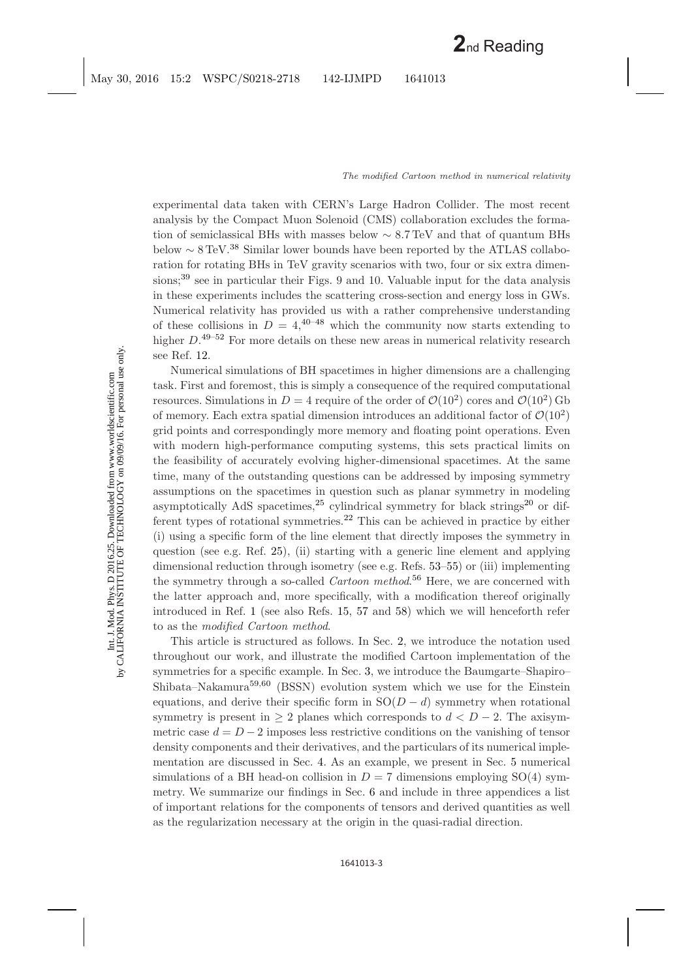experimental data taken with CERN's Large Hadron Collider. The most recent analysis by the Compact Muon Solenoid (CMS) collaboration excludes the formation of semiclassical BHs with masses below ∼ 8.7 TeV and that of quantum BHs below  $\sim 8 \,\mathrm{TeV}^{38}$  $\sim 8 \,\mathrm{TeV}^{38}$  $\sim 8 \,\mathrm{TeV}^{38}$  Similar lower bounds have been reported by the ATLAS collaboration for rotating BHs in TeV gravity scenarios with two, four or six extra dimensions; $39$  see in particular their Figs. 9 and 10. Valuable input for the data analysis in these experiments includes the scattering cross-section and energy loss in GWs. Numerical relativity has provided us with a rather comprehensive understanding of these collisions in  $D = 4,4^{0-48}$  which the community now starts extending to higher  $D^{49-52}$  $D^{49-52}$  $D^{49-52}$  For more details on these new areas in numerical relativity research see Ref. [12.](#page-24-21)

Numerical simulations of BH spacetimes in higher dimensions are a challenging task. First and foremost, this is simply a consequence of the required computational resources. Simulations in  $D = 4$  require of the order of  $\mathcal{O}(10^2)$  cores and  $\mathcal{O}(10^2)$  Gb of memory. Each extra spatial dimension introduces an additional factor of  $\mathcal{O}(10^2)$ grid points and correspondingly more memory and floating point operations. Even with modern high-performance computing systems, this sets practical limits on the feasibility of accurately evolving higher-dimensional spacetimes. At the same time, many of the outstanding questions can be addressed by imposing symmetry assumptions on the spacetimes in question such as planar symmetry in modeling asymptotically AdS spacetimes,<sup>[25](#page-25-16)</sup> cylindrical symmetry for black strings<sup>[20](#page-24-22)</sup> or different types of rotational symmetries.[22](#page-25-17) This can be achieved in practice by either (i) using a specific form of the line element that directly imposes the symmetry in question (see e.g. Ref. [25\)](#page-25-16), (ii) starting with a generic line element and applying dimensional reduction through isometry (see e.g. Refs. [53–](#page-26-0)[55\)](#page-26-1) or (iii) implementing the symmetry through a so-called *Cartoon method*. [56](#page-26-2) Here, we are concerned with the latter approach and, more specifically, with a modification thereof originally introduced in Ref. [1](#page-24-1) (see also Refs. [15,](#page-24-23) [57](#page-26-3) and [58\)](#page-26-4) which we will henceforth refer to as the *modified Cartoon method*.

This article is structured as follows. In Sec. [2,](#page-3-0) we introduce the notation used throughout our work, and illustrate the modified Cartoon implementation of the symmetries for a specific example. In Sec. [3,](#page-6-0) we introduce the Baumgarte–Shapiro– Shibata–Nakamura<sup>[59,](#page-26-5)[60](#page-26-6)</sup> (BSSN) evolution system which we use for the Einstein equations, and derive their specific form in  $SO(D - d)$  symmetry when rotational symmetry is present in  $\geq 2$  planes which corresponds to  $d < D - 2$ . The axisymmetric case  $d = D - 2$  imposes less restrictive conditions on the vanishing of tensor density components and their derivatives, and the particulars of its numerical implementation are discussed in Sec. [4.](#page-12-0) As an example, we present in Sec. [5](#page-13-0) numerical simulations of a BH head-on collision in  $D = 7$  dimensions employing SO(4) symmetry. We summarize our findings in Sec. [6](#page-15-0) and include in three appendices a list of important relations for the components of tensors and derived quantities as well as the regularization necessary at the origin in the quasi-radial direction.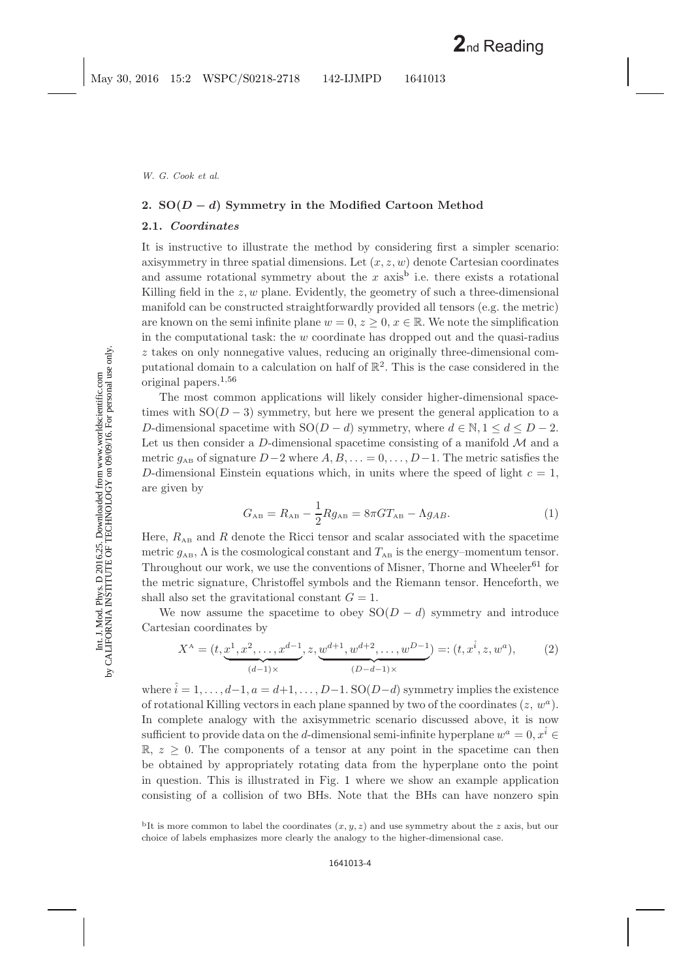# <span id="page-3-2"></span><span id="page-3-0"></span>**2. SO(***<sup>D</sup> <sup>−</sup> <sup>d</sup>***) Symmetry in the Modified Cartoon Method**

### **2.1.** *Coordinates*

It is instructive to illustrate the method by considering first a simpler scenario: axisymmetry in three spatial dimensions. Let  $(x, z, w)$  denote Cartesian coordinates and assume rotational symmetry a[b](#page-3-1)out the x axis<sup>b</sup> i.e. there exists a rotational Killing field in the  $z, w$  plane. Evidently, the geometry of such a three-dimensional manifold can be constructed straightforwardly provided all tensors (e.g. the metric) are known on the semi infinite plane  $w = 0, z \geq 0, x \in \mathbb{R}$ . We note the simplification in the computational task: the  $w$  coordinate has dropped out and the quasi-radius z takes on only nonnegative values, reducing an originally three-dimensional computational domain to a calculation on half of  $\mathbb{R}^2$ . This is the case considered in the original papers.[1,](#page-24-24)[56](#page-26-7)

The most common applications will likely consider higher-dimensional spacetimes with  $SO(D-3)$  symmetry, but here we present the general application to a D-dimensional spacetime with  $SO(D - d)$  symmetry, where  $d \in \mathbb{N}, 1 \leq d \leq D - 2$ . Let us then consider a D-dimensional spacetime consisting of a manifold  $\mathcal M$  and a metric  $g_{AB}$  of signature  $D-2$  where  $A, B, \ldots = 0, \ldots, D-1$ . The metric satisfies the D-dimensional Einstein equations which, in units where the speed of light  $c = 1$ , are given by

$$
G_{AB} = R_{AB} - \frac{1}{2} R g_{AB} = 8\pi G T_{AB} - \Lambda g_{AB}.
$$
 (1)

Here,  $R_{AB}$  and R denote the Ricci tensor and scalar associated with the spacetime metric  $g_{AB}$ ,  $\Lambda$  is the cosmological constant and  $T_{AB}$  is the energy–momentum tensor. Throughout our work, we use the conventions of Misner, Thorne and Wheeler<sup>[61](#page-26-8)</sup> for the metric signature, Christoffel symbols and the Riemann tensor. Henceforth, we shall also set the gravitational constant  $G = 1$ .

We now assume the spacetime to obey  $SO(D - d)$  symmetry and introduce Cartesian coordinates by

$$
X^{\mathcal{A}} = (t, \underbrace{x^1, x^2, \dots, x^{d-1}}_{(d-1)\times}, z, \underbrace{w^{d+1}, w^{d+2}, \dots, w^{D-1}}_{(D-d-1)\times}) =: (t, x^{\hat{i}}, z, w^a),
$$
 (2)

where  $\hat{i} = 1, \ldots, d-1, a = d+1, \ldots, D-1$ . SO $(D-d)$  symmetry implies the existence of rotational Killing vectors in each plane spanned by two of the coordinates  $(z, w^a)$ . In complete analogy with the axisymmetric scenario discussed above, it is now sufficient to provide data on the d-dimensional semi-infinite hyperplane  $w^a = 0, x^i \in$  $\mathbb{R}, z \geq 0$ . The components of a tensor at any point in the spacetime can then be obtained by appropriately rotating data from the hyperplane onto the point in question. This is illustrated in Fig. [1](#page-4-0) where we show an example application consisting of a collision of two BHs. Note that the BHs can have nonzero spin

<span id="page-3-1"></span><sup>&</sup>lt;sup>b</sup>It is more common to label the coordinates  $(x, y, z)$  and use symmetry about the z axis, but our choice of labels emphasizes more clearly the analogy to the higher-dimensional case.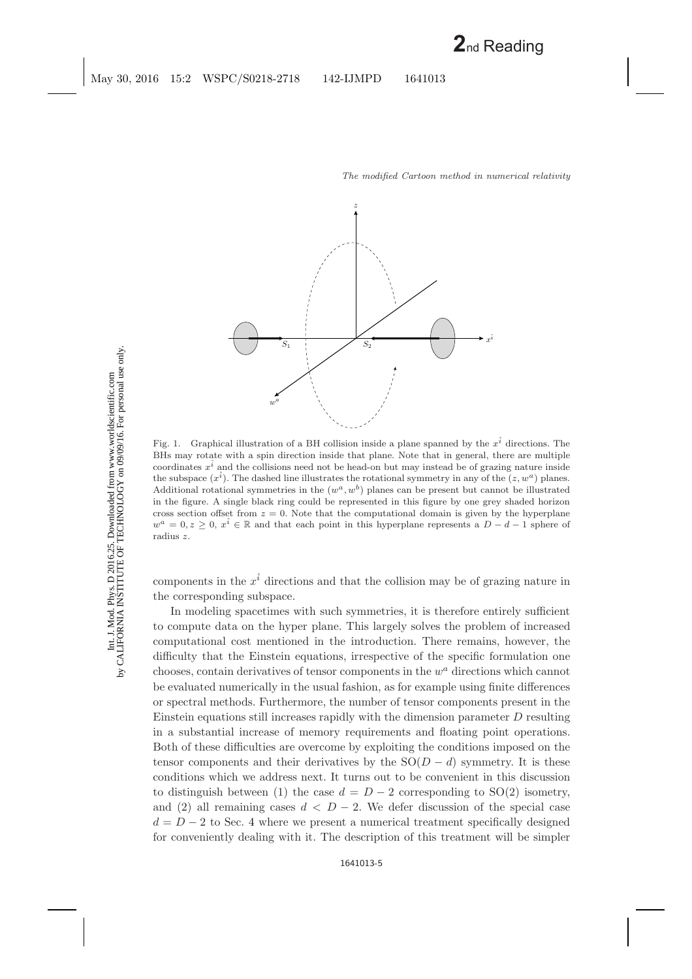

<span id="page-4-0"></span>Fig. 1. Graphical illustration of a BH collision inside a plane spanned by the  $x^{\hat{i}}$  directions. The BHs may rotate with a spin direction inside that plane. Note that in general, there are multiple coordinates  $x<sup>i</sup>$  and the collisions need not be head-on but may instead be of grazing nature inside the subspace  $(x<sup>i</sup>)$ . The dashed line illustrates the rotational symmetry in any of the  $(z, w<sup>a</sup>)$  planes. Additional rotational symmetries in the  $(w^a, w^b)$  planes can be present but cannot be illustrated in the figure. A single black ring could be represented in this figure by one grey shaded horizon cross section offset from  $z = 0$ . Note that the computational domain is given by the hyperplane  $w^a = 0, z \geq 0, x^i \in \mathbb{R}$  and that each point in this hyperplane represents a  $D - d - 1$  sphere of radius z.

components in the  $x<sup>i</sup>$  directions and that the collision may be of grazing nature in the corresponding subspace.

In modeling spacetimes with such symmetries, it is therefore entirely sufficient to compute data on the hyper plane. This largely solves the problem of increased computational cost mentioned in the introduction. There remains, however, the difficulty that the Einstein equations, irrespective of the specific formulation one chooses, contain derivatives of tensor components in the  $w<sup>a</sup>$  directions which cannot be evaluated numerically in the usual fashion, as for example using finite differences or spectral methods. Furthermore, the number of tensor components present in the Einstein equations still increases rapidly with the dimension parameter  $D$  resulting in a substantial increase of memory requirements and floating point operations. Both of these difficulties are overcome by exploiting the conditions imposed on the tensor components and their derivatives by the  $SO(D - d)$  symmetry. It is these conditions which we address next. It turns out to be convenient in this discussion to distinguish between (1) the case  $d = D - 2$  corresponding to SO(2) isometry, and (2) all remaining cases  $d < D - 2$ . We defer discussion of the special case  $d = D - 2$  to Sec. [4](#page-12-0) where we present a numerical treatment specifically designed for conveniently dealing with it. The description of this treatment will be simpler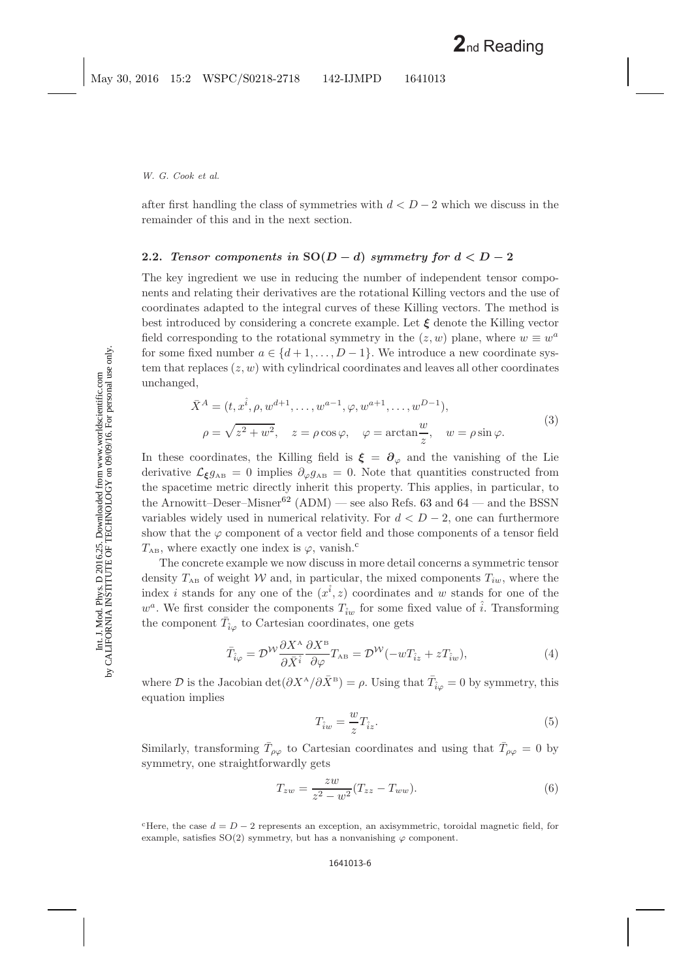Int. J. Mod. Phys. D 2016.25. Downloaded from www.worldscientific.com

after first handling the class of symmetries with  $d < D-2$  which we discuss in the remainder of this and in the next section.

# <span id="page-5-3"></span>**2.2.** *Tensor components in*  $SO(D - d)$  *symmetry for*  $d < D - 2$

The key ingredient we use in reducing the number of independent tensor components and relating their derivatives are the rotational Killing vectors and the use of coordinates adapted to the integral curves of these Killing vectors. The method is best introduced by considering a concrete example. Let *ξ* denote the Killing vector field corresponding to the rotational symmetry in the  $(z, w)$  plane, where  $w \equiv w^a$ for some fixed number  $a \in \{d+1,\ldots,D-1\}$ . We introduce a new coordinate system that replaces  $(z, w)$  with cylindrical coordinates and leaves all other coordinates unchanged,

$$
\bar{X}^{A} = (t, x^{\hat{i}}, \rho, w^{d+1}, \dots, w^{a-1}, \varphi, w^{a+1}, \dots, w^{D-1}),
$$
  
\n
$$
\rho = \sqrt{z^{2} + w^{2}}, \quad z = \rho \cos \varphi, \quad \varphi = \arctan \frac{w}{z}, \quad w = \rho \sin \varphi.
$$
\n(3)

In these coordinates, the Killing field is  $\xi = \partial_{\varphi}$  and the vanishing of the Lie derivative  $\mathcal{L}_{\xi}g_{AB} = 0$  implies  $\partial_{\varphi}g_{AB} = 0$ . Note that quantities constructed from the spacetime metric directly inherit this property. This applies, in particular, to the Arnowitt–Deser–Misner<sup>[62](#page-26-9)</sup> (ADM) — see also Refs. [63](#page-26-10) and [64](#page-26-11) — and the BSSN variables widely used in numerical relativity. For  $d < D - 2$ , one can furthermore show that the  $\varphi$  component of a vector field and those components of a tensor field  $T_{AB}$ , where exa[c](#page-5-0)tly one index is  $\varphi$ , vanish.<sup>c</sup>

The concrete example we now discuss in more detail concerns a symmetric tensor density  $T_{AB}$  of weight W and, in particular, the mixed components  $T_{iw}$ , where the index *i* stands for any one of the  $(x^{\hat{i}}, z)$  coordinates and w stands for one of the  $w^a$ . We first consider the components  $T_{\hat{i}w}$  for some fixed value of  $\hat{i}$ . Transforming the component  $\bar{T}_{\hat{i}\varphi}$  to Cartesian coordinates, one gets

<span id="page-5-1"></span>
$$
\bar{T}_{\hat{i}\varphi} = \mathcal{D}^{\mathcal{W}} \frac{\partial X^{\mathcal{A}}}{\partial \bar{X}^{\hat{i}}} \frac{\partial X^{\mathcal{B}}}{\partial \varphi} T_{\mathcal{A}\mathcal{B}} = \mathcal{D}^{\mathcal{W}} (-w T_{\hat{i}z} + z T_{\hat{i}w}), \tag{4}
$$

where D is the Jacobian det $(\partial X^{\mathcal{A}}/\partial \bar{X}^{\mathcal{B}}) = \rho$ . Using that  $\bar{T}_{\hat{i}\varphi} = 0$  by symmetry, this equation implies

$$
T_{\hat{i}w} = \frac{w}{z} T_{\hat{i}z}.\tag{5}
$$

<span id="page-5-2"></span>Similarly, transforming  $T_{\rho\varphi}$  to Cartesian coordinates and using that  $T_{\rho\varphi} = 0$  by symmetry, one straightforwardly gets

$$
T_{zw} = \frac{zw}{z^2 - w^2} (T_{zz} - T_{ww}).
$$
\n(6)

<span id="page-5-0"></span><sup>c</sup>Here, the case  $d = D - 2$  represents an exception, an axisymmetric, toroidal magnetic field, for example, satisfies  $SO(2)$  symmetry, but has a nonvanishing  $\varphi$  component.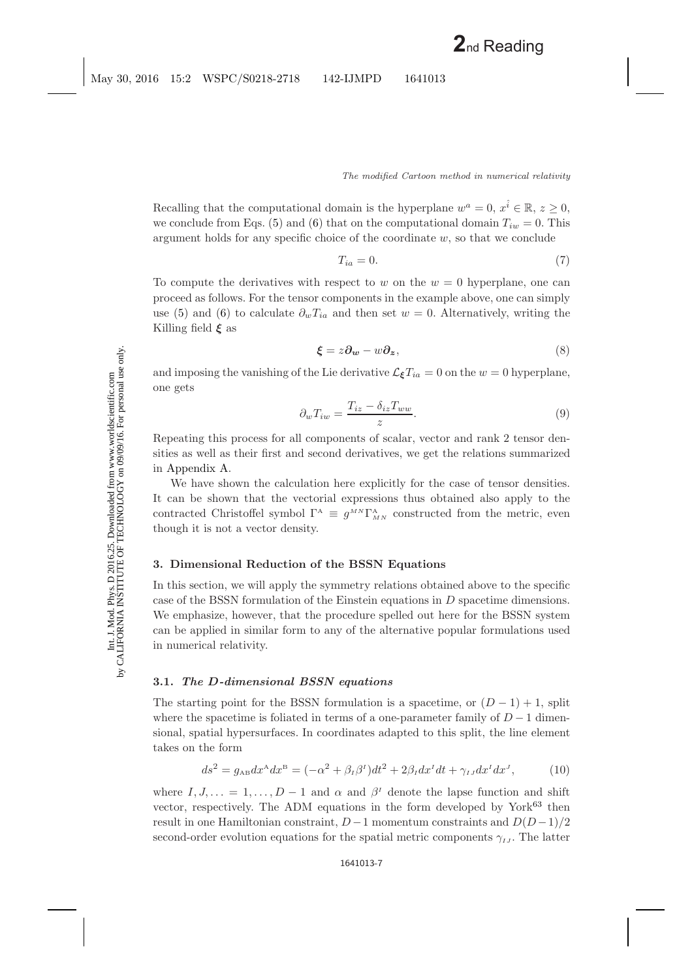Recalling that the computational domain is the hyperplane  $w^a = 0, x^{\hat{i}} \in \mathbb{R}, z \geq 0$ , we conclude from Eqs. [\(5\)](#page-5-1) and [\(6\)](#page-5-2) that on the computational domain  $T_{iw} = 0$ . This argument holds for any specific choice of the coordinate  $w$ , so that we conclude

$$
T_{ia} = 0.\t\t(7)
$$

To compute the derivatives with respect to w on the  $w = 0$  hyperplane, one can proceed as follows. For the tensor components in the example above, one can simply use [\(5\)](#page-5-1) and [\(6\)](#page-5-2) to calculate  $\partial_w T_{ia}$  and then set  $w = 0$ . Alternatively, writing the Killing field *ξ* as

$$
\boldsymbol{\xi} = z \partial_{\boldsymbol{w}} - w \partial_{\boldsymbol{z}},\tag{8}
$$

and imposing the vanishing of the Lie derivative  $\mathcal{L}_{\xi}T_{ia} = 0$  on the  $w = 0$  hyperplane, one gets

$$
\partial_w T_{iw} = \frac{T_{iz} - \delta_{iz} T_{ww}}{z}.
$$
\n(9)

Repeating this process for all components of scalar, vector and rank 2 tensor densities as well as their first and second derivatives, we get the relations summarized in [Appendix A.](#page-17-0)

We have shown the calculation here explicitly for the case of tensor densities. It can be shown that the vectorial expressions thus obtained also apply to the contracted Christoffel symbol  $\Gamma^A \equiv g^{MN} \Gamma^A_{MN}$  constructed from the metric, even though it is not a vector density.

## <span id="page-6-1"></span><span id="page-6-0"></span>**3. Dimensional Reduction of the BSSN Equations**

In this section, we will apply the symmetry relations obtained above to the specific case of the BSSN formulation of the Einstein equations in D spacetime dimensions. We emphasize, however, that the procedure spelled out here for the BSSN system can be applied in similar form to any of the alternative popular formulations used in numerical relativity.

### **3.1.** *The D-dimensional BSSN equations*

The starting point for the BSSN formulation is a spacetime, or  $(D-1) + 1$ , split where the spacetime is foliated in terms of a one-parameter family of  $D-1$  dimensional, spatial hypersurfaces. In coordinates adapted to this split, the line element takes on the form

$$
ds^2 = g_{AB}dx^A dx^B = (-\alpha^2 + \beta_I \beta^I)dt^2 + 2\beta_I dx^I dt + \gamma_{IJ} dx^I dx^J, \qquad (10)
$$

where  $I, J, \ldots = 1, \ldots, D-1$  and  $\alpha$  and  $\beta<sup>I</sup>$  denote the lapse function and shift vector, respectively. The ADM equations in the form developed by York<sup>[63](#page-26-12)</sup> then result in one Hamiltonian constraint,  $D-1$  momentum constraints and  $D(D-1)/2$ second-order evolution equations for the spatial metric components  $\gamma_{IJ}$ . The latter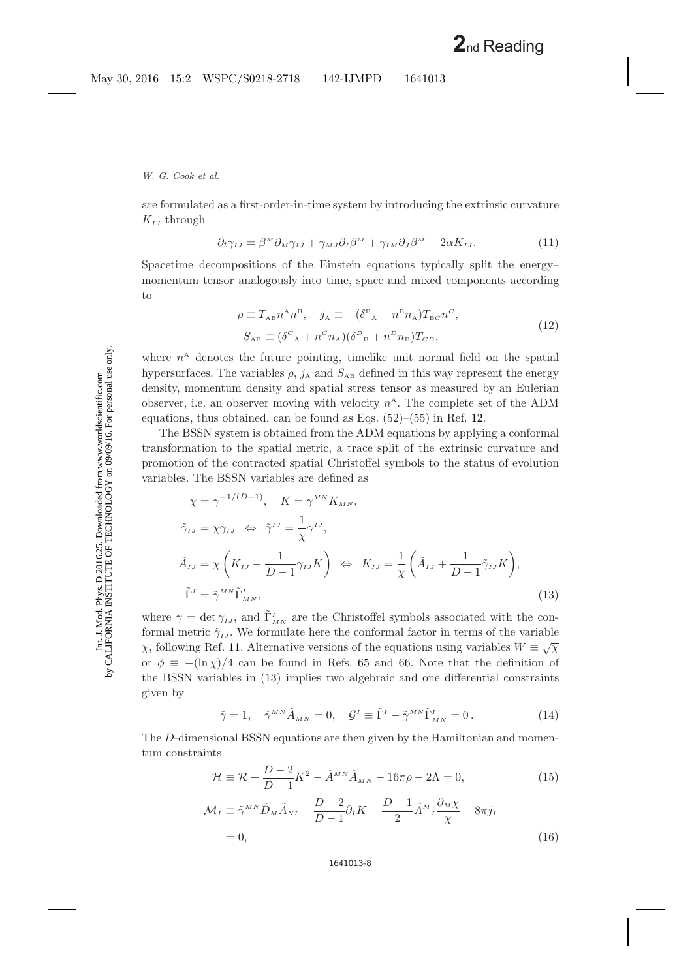are formulated as a first-order-in-time system by introducing the extrinsic curvature  $K_{IJ}$  through

$$
\partial_t \gamma_{IJ} = \beta^M \partial_M \gamma_{IJ} + \gamma_{MJ} \partial_I \beta^M + \gamma_{IM} \partial_J \beta^M - 2\alpha K_{IJ}.
$$
 (11)

Spacetime decompositions of the Einstein equations typically split the energy– momentum tensor analogously into time, space and mixed components according to

$$
\rho \equiv T_{AB} n^A n^B, \quad j_A \equiv -(\delta^B{}_A + n^B n_A) T_{BC} n^C,
$$
  

$$
S_{AB} \equiv (\delta^C{}_A + n^C n_A) (\delta^D{}_B + n^D n_B) T_{CD},
$$
 (12)

where  $n^A$  denotes the future pointing, timelike unit normal field on the spatial hypersurfaces. The variables  $\rho$ ,  $j_A$  and  $S_{AB}$  defined in this way represent the energy density, momentum density and spatial stress tensor as measured by an Eulerian observer, i.e. an observer moving with velocity  $n^A$ . The complete set of the ADM equations, thus obtained, can be found as Eqs.  $(52)$ – $(55)$  in Ref. [12.](#page-24-11)

The BSSN system is obtained from the ADM equations by applying a conformal transformation to the spatial metric, a trace split of the extrinsic curvature and promotion of the contracted spatial Christoffel symbols to the status of evolution variables. The BSSN variables are defined as

<span id="page-7-0"></span>
$$
\chi = \gamma^{-1/(D-1)}, \quad K = \gamma^{MN} K_{MN},
$$
  
\n
$$
\tilde{\gamma}_{IJ} = \chi \gamma_{IJ} \iff \tilde{\gamma}^{IJ} = \frac{1}{\chi} \gamma^{IJ},
$$
  
\n
$$
\tilde{A}_{IJ} = \chi \left( K_{IJ} - \frac{1}{D-1} \gamma_{IJ} K \right) \iff K_{IJ} = \frac{1}{\chi} \left( \tilde{A}_{IJ} + \frac{1}{D-1} \tilde{\gamma}_{IJ} K \right),
$$
  
\n
$$
\tilde{\Gamma}^I = \tilde{\gamma}^{MN} \tilde{\Gamma}^I_{MN},
$$
\n(13)

where  $\gamma = \det \gamma_{IJ}$ , and  $\tilde{\Gamma}^I_{MN}$  are the Christoffel symbols associated with the conformal metric  $\tilde{\gamma}_{IJ}$ . We formulate here the conformal factor in terms of the variable <sup>χ</sup>, following Ref. [11.](#page-24-10) Alternative versions of the equations using variables <sup>W</sup> <sup>≡</sup> <sup>√</sup><sup>χ</sup> or  $\phi \equiv -(\ln \chi)/4$  can be found in Refs. [65](#page-26-13) and [66.](#page-26-14) Note that the definition of the BSSN variables in [\(13\)](#page-7-0) implies two algebraic and one differential constraints given by

$$
\tilde{\gamma} = 1, \quad \tilde{\gamma}^{MN} \tilde{A}_{MN} = 0, \quad \mathcal{G}^I \equiv \tilde{\Gamma}^I - \tilde{\gamma}^{MN} \tilde{\Gamma}^I_{MN} = 0. \tag{14}
$$

<span id="page-7-2"></span><span id="page-7-1"></span>The D-dimensional BSSN equations are then given by the Hamiltonian and momentum constraints

$$
\mathcal{H} \equiv \mathcal{R} + \frac{D-2}{D-1}K^2 - \tilde{A}^{MN}\tilde{A}_{MN} - 16\pi\rho - 2\Lambda = 0,
$$
\n(15)

$$
\mathcal{M}_I \equiv \tilde{\gamma}^{MN} \tilde{D}_M \tilde{A}_{NI} - \frac{D-2}{D-1} \partial_I K - \frac{D-1}{2} \tilde{A}^M{}_I \frac{\partial_M \chi}{\chi} - 8\pi j_I
$$
  
= 0, (16)

$$
1641013-8
$$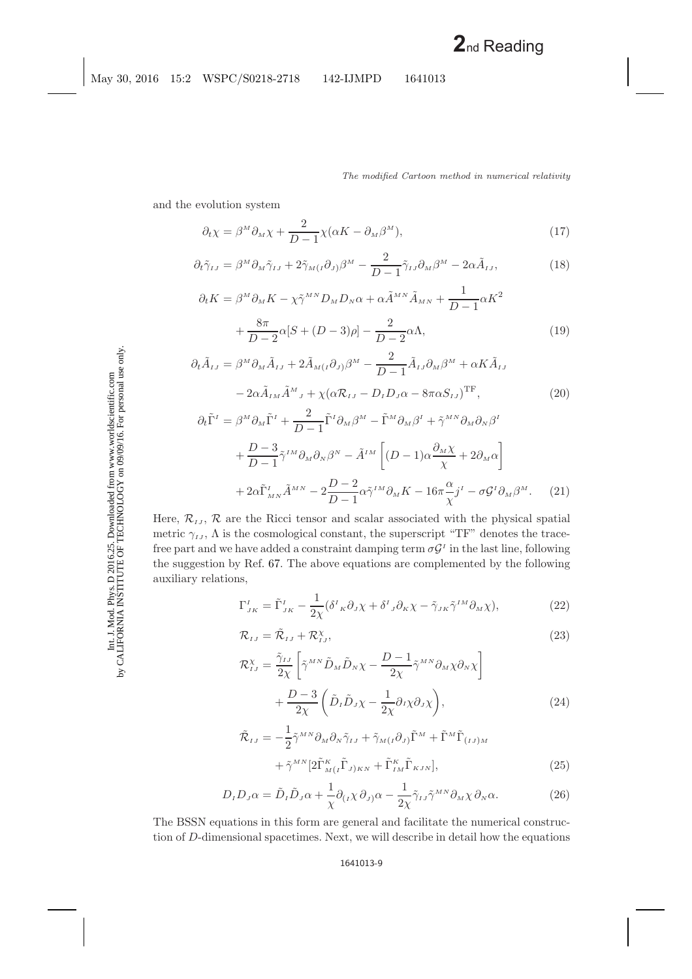<span id="page-8-1"></span><span id="page-8-0"></span>and the evolution system

$$
\partial_t \chi = \beta^M \partial_M \chi + \frac{2}{D-1} \chi(\alpha K - \partial_M \beta^M), \tag{17}
$$

$$
\partial_t \tilde{\gamma}_{IJ} = \beta^M \partial_M \tilde{\gamma}_{IJ} + 2 \tilde{\gamma}_{M(I} \partial_{J)} \beta^M - \frac{2}{D - 1} \tilde{\gamma}_{IJ} \partial_M \beta^M - 2 \alpha \tilde{A}_{IJ}, \tag{18}
$$

$$
\partial_t K = \beta^M \partial_M K - \chi \tilde{\gamma}^{MN} D_M D_N \alpha + \alpha \tilde{A}^{MN} \tilde{A}_{MN} + \frac{1}{D-1} \alpha K^2
$$

$$
+ \frac{8\pi}{D-2} \alpha [S + (D-3)\rho] - \frac{2}{D-2} \alpha \Lambda, \tag{19}
$$

$$
\partial_t \tilde{A}_{IJ} = \beta^M \partial_M \tilde{A}_{IJ} + 2 \tilde{A}_{M(I} \partial_{J)} \beta^M - \frac{2}{D - 1} \tilde{A}_{IJ} \partial_M \beta^M + \alpha K \tilde{A}_{IJ}
$$

$$
- 2 \alpha \tilde{A}_{IM} \tilde{A}^M{}_J + \chi (\alpha \mathcal{R}_{IJ} - D_I D_J \alpha - 8 \pi \alpha S_{IJ})^{\text{TF}}, \tag{20}
$$

$$
\partial_t \tilde{\Gamma}^I = \beta^M \partial_M \tilde{\Gamma}^I + \frac{2}{D-1} \tilde{\Gamma}^I \partial_M \beta^M - \tilde{\Gamma}^M \partial_M \beta^I + \tilde{\gamma}^{MN} \partial_M \partial_N \beta^I + \frac{D-3}{D-1} \tilde{\gamma}^{IM} \partial_M \partial_N \beta^N - \tilde{A}^{IM} \left[ (D-1) \alpha \frac{\partial_M \chi}{\chi} + 2 \partial_M \alpha \right] + 2\alpha \tilde{\Gamma}^I_{MN} \tilde{A}^{MN} - 2 \frac{D-2}{D-1} \alpha \tilde{\gamma}^{IM} \partial_M K - 16\pi \frac{\alpha}{\chi} j^I - \sigma \mathcal{G}^I \partial_M \beta^M.
$$
 (21)

Here,  $\mathcal{R}_{IJ}$ ,  $\mathcal{R}$  are the Ricci tensor and scalar associated with the physical spatial metric  $\gamma_{IJ}$ ,  $\Lambda$  is the cosmological constant, the superscript "TF" denotes the tracefree part and we have added a constraint damping term  $\sigma \mathcal{G}^I$  in the last line, following the suggestion by Ref. [67.](#page-26-15) The above equations are complemented by the following auxiliary relations,

$$
\Gamma_{_{JK}}^{^{I}} = \tilde{\Gamma}_{_{JK}}^{^{I}} - \frac{1}{2\chi} (\delta^{I}{}_{K}\partial_{J}\chi + \delta^{I}{}_{J}\partial_{K}\chi - \tilde{\gamma}_{_{JK}}\tilde{\gamma}^{^{IM}}\partial_{M}\chi), \tag{22}
$$

$$
\mathcal{R}_{IJ} = \tilde{\mathcal{R}}_{IJ} + \mathcal{R}_{IJ}^{\chi},\tag{23}
$$

$$
\mathcal{R}_{IJ}^{\chi} = \frac{\tilde{\gamma}_{IJ}}{2\chi} \left[ \tilde{\gamma}^{MN} \tilde{D}_M \tilde{D}_N \chi - \frac{D-1}{2\chi} \tilde{\gamma}^{MN} \partial_M \chi \partial_N \chi \right] + \frac{D-3}{2\chi} \left( \tilde{D}_I \tilde{D}_J \chi - \frac{1}{2\chi} \partial_I \chi \partial_J \chi \right), \tag{24}
$$

$$
\tilde{\mathcal{R}}_{IJ} = -\frac{1}{2} \tilde{\gamma}^{MN} \partial_M \partial_N \tilde{\gamma}_{IJ} + \tilde{\gamma}_{M(I} \partial_{J)} \tilde{\Gamma}^M + \tilde{\Gamma}^M \tilde{\Gamma}_{(IJ)M} \n+ \tilde{\gamma}^{MN} \left[ 2 \tilde{\Gamma}^K_{M(I} \tilde{\Gamma}_{J)KN} + \tilde{\Gamma}^K_{IM} \tilde{\Gamma}_{KJN} \right],
$$
\n(25)

$$
D_{I}D_{J}\alpha = \tilde{D}_{I}\tilde{D}_{J}\alpha + \frac{1}{\chi}\partial_{(I}\chi\,\partial_{J)}\alpha - \frac{1}{2\chi}\tilde{\gamma}_{IJ}\tilde{\gamma}^{MN}\partial_{M}\chi\,\partial_{N}\alpha.
$$
 (26)

The BSSN equations in this form are general and facilitate the numerical construction of D-dimensional spacetimes. Next, we will describe in detail how the equations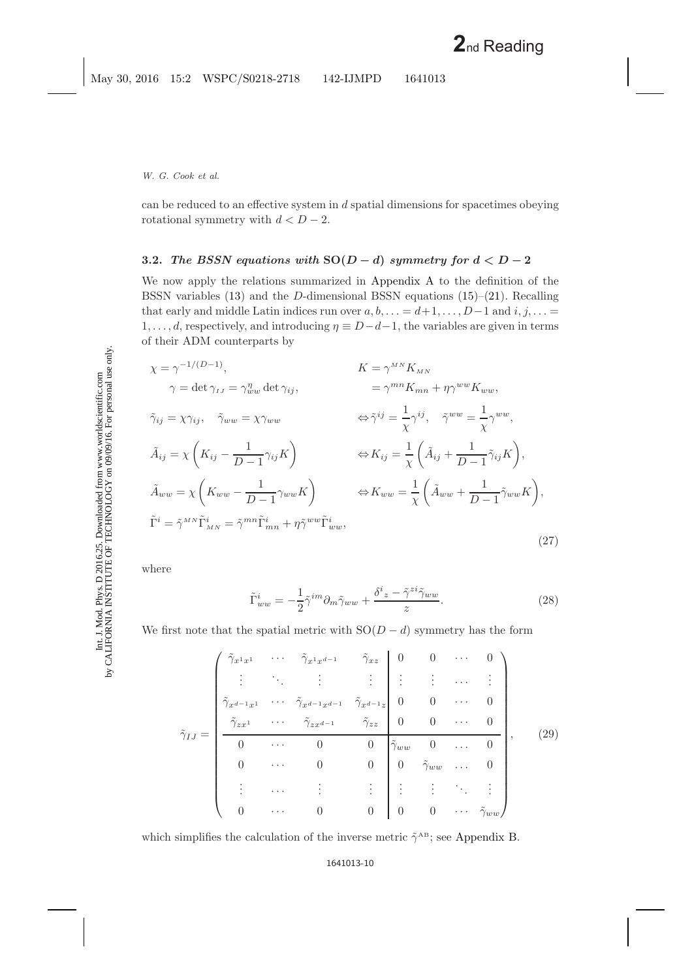can be reduced to an effective system in d spatial dimensions for spacetimes obeying rotational symmetry with  $d < D - 2$ .

# **3.2.** *The BSSN equations with*  $SO(D - d)$  *symmetry for*  $d < D - 2$

We now apply the relations summarized in [Appendix A](#page-17-1) to the definition of the BSSN variables [\(13\)](#page-7-0) and the D-dimensional BSSN equations [\(15\)](#page-7-1)–[\(21\)](#page-8-0). Recalling that early and middle Latin indices run over  $a, b, \ldots = d+1, \ldots, D-1$  and  $i, j, \ldots =$  $1, \ldots, d$ , respectively, and introducing  $\eta \equiv D - d - 1$ , the variables are given in terms of their ADM counterparts by

$$
\chi = \gamma^{-1/(D-1)}, \qquad K = \gamma^{MN} K_{MN}
$$
  
\n
$$
\gamma = \det \gamma_{IJ} = \gamma_{ww}^{\eta} \det \gamma_{ij}, \qquad K = \gamma^{MN} K_{MN}
$$
  
\n
$$
\tilde{\gamma}_{ij} = \chi \gamma_{ij}, \quad \tilde{\gamma}_{ww} = \chi \gamma_{ww}
$$
  
\n
$$
\tilde{A}_{ij} = \chi \left( K_{ij} - \frac{1}{D-1} \gamma_{ij} K \right) \qquad \Leftrightarrow K_{ij} = \frac{1}{\chi} \left( \tilde{A}_{ij} + \frac{1}{D-1} \tilde{\gamma}_{ij} K \right),
$$
  
\n
$$
\tilde{A}_{ww} = \chi \left( K_{ww} - \frac{1}{D-1} \gamma_{ww} K \right) \qquad \Leftrightarrow K_{ww} = \frac{1}{\chi} \left( \tilde{A}_{ww} + \frac{1}{D-1} \tilde{\gamma}_{ww} K \right),
$$
  
\n
$$
\tilde{\Gamma}^{i} = \tilde{\gamma}^{MN} \tilde{\Gamma}^{i}_{MN} = \tilde{\gamma}^{mn} \tilde{\Gamma}^{i}_{mn} + \eta \tilde{\gamma}^{ww} \tilde{\Gamma}^{i}_{ww},
$$
\n(27)

<span id="page-9-0"></span>where

$$
\tilde{\Gamma}^{i}_{ww} = -\frac{1}{2}\tilde{\gamma}^{im}\partial_m\tilde{\gamma}_{ww} + \frac{\delta^i{}_z - \tilde{\gamma}^{zi}\tilde{\gamma}_{ww}}{z}.
$$
\n(28)

<span id="page-9-2"></span><span id="page-9-1"></span>We first note that the spatial metric with  $SO(D - d)$  symmetry has the form

$$
\tilde{\gamma}_{IJ} = \begin{pmatrix}\n\tilde{\gamma}_{x^1 x^1} & \cdots & \tilde{\gamma}_{x^1 x^{d-1}} & \tilde{\gamma}_{xz} & 0 & 0 & \cdots & 0 \\
\vdots & \ddots & \vdots & \vdots & \vdots & \vdots & \cdots & \vdots \\
\tilde{\gamma}_{x^{d-1} x^1} & \cdots & \tilde{\gamma}_{x^{d-1} x^{d-1}} & \tilde{\gamma}_{x^{d-1} x} & 0 & 0 & \cdots & 0 \\
\tilde{\gamma}_{zx^1} & \cdots & \tilde{\gamma}_{zx^{d-1}} & \tilde{\gamma}_{zz} & 0 & 0 & \cdots & 0 \\
0 & \cdots & 0 & 0 & \tilde{\gamma}_{ww} & 0 & \cdots & 0 \\
0 & \cdots & 0 & 0 & 0 & \tilde{\gamma}_{ww} & \cdots & 0 \\
\vdots & \cdots & \vdots & \vdots & \vdots & \vdots & \ddots & \vdots \\
0 & \cdots & 0 & 0 & 0 & 0 & \cdots & \tilde{\gamma}_{ww}\n\end{pmatrix}, (29)
$$

which simplifies the calculation of the inverse metric  $\tilde{\gamma}^{\text{AB}}$ ; see [Appendix B.](#page-17-2)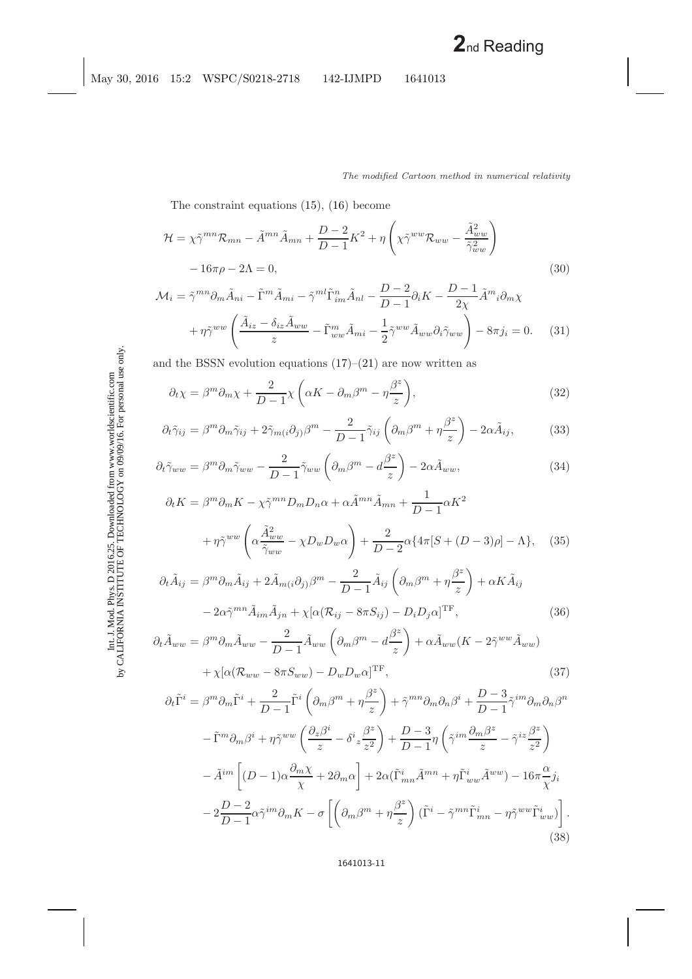The constraint equations [\(15\)](#page-7-2), [\(16\)](#page-7-2) become

<span id="page-10-1"></span><span id="page-10-0"></span>
$$
\mathcal{H} = \chi \tilde{\gamma}^{mn} \mathcal{R}_{mn} - \tilde{A}^{mn} \tilde{A}_{mn} + \frac{D-2}{D-1} K^2 + \eta \left( \chi \tilde{\gamma}^{ww} \mathcal{R}_{ww} - \frac{\tilde{A}_{ww}^2}{\tilde{\gamma}_{ww}^2} \right) - 16\pi \rho - 2\Lambda = 0,
$$
\n(30)

$$
\mathcal{M}_{i} = \tilde{\gamma}^{mn} \partial_{m} \tilde{A}_{ni} - \tilde{\Gamma}^{m} \tilde{A}_{mi} - \tilde{\gamma}^{ml} \tilde{\Gamma}^{n}_{im} \tilde{A}_{nl} - \frac{D-2}{D-1} \partial_{i} K - \frac{D-1}{2\chi} \tilde{A}^{m}{}_{i} \partial_{m} \chi
$$

$$
+ \eta \tilde{\gamma}^{ww} \left( \frac{\tilde{A}_{iz} - \delta_{iz} \tilde{A}_{ww}}{z} - \tilde{\Gamma}^{m}_{ww} \tilde{A}_{mi} - \frac{1}{2} \tilde{\gamma}^{ww} \tilde{A}_{ww} \partial_{i} \tilde{\gamma}_{ww} \right) - 8\pi j_{i} = 0. \tag{31}
$$

<span id="page-10-2"></span>and the BSSN evolution equations  $(17)-(21)$  $(17)-(21)$  $(17)-(21)$  are now written as

$$
\partial_t \chi = \beta^m \partial_m \chi + \frac{2}{D-1} \chi \left( \alpha K - \partial_m \beta^m - \eta \frac{\beta^z}{z} \right),\tag{32}
$$

$$
\partial_t \tilde{\gamma}_{ij} = \beta^m \partial_m \tilde{\gamma}_{ij} + 2 \tilde{\gamma}_{m(i} \partial_j) \beta^m - \frac{2}{D-1} \tilde{\gamma}_{ij} \left( \partial_m \beta^m + \eta \frac{\beta^z}{z} \right) - 2\alpha \tilde{A}_{ij},\tag{33}
$$

$$
\partial_t \tilde{\gamma}_{ww} = \beta^m \partial_m \tilde{\gamma}_{ww} - \frac{2}{D-1} \tilde{\gamma}_{ww} \left( \partial_m \beta^m - d \frac{\beta^z}{z} \right) - 2\alpha \tilde{A}_{ww}, \tag{34}
$$

$$
\partial_t K = \beta^m \partial_m K - \chi \tilde{\gamma}^{mn} D_m D_n \alpha + \alpha \tilde{A}^{mn} \tilde{A}_{mn} + \frac{1}{D-1} \alpha K^2
$$

$$
+ \eta \tilde{\gamma}^{ww} \left( \alpha \frac{\tilde{A}_{ww}^2}{\tilde{\gamma}_{ww}} - \chi D_w D_w \alpha \right) + \frac{2}{D-2} \alpha \{ 4\pi [S + (D-3)\rho] - \Lambda \}, \quad (35)
$$

$$
\partial_t \tilde{A}_{ij} = \beta^m \partial_m \tilde{A}_{ij} + 2 \tilde{A}_{m(i} \partial_j) \beta^m - \frac{2}{D-1} \tilde{A}_{ij} \left( \partial_m \beta^m + \eta \frac{\beta^z}{z} \right) + \alpha K \tilde{A}_{ij}
$$

$$
- 2\alpha \tilde{\gamma}^{mn} \tilde{A}_{im} \tilde{A}_{jn} + \chi [\alpha (\mathcal{R}_{ij} - 8\pi S_{ij}) - D_i D_j \alpha]^{TF}, \qquad (36)
$$

$$
\partial_t \tilde{A}_{ww} = \beta^m \partial_m \tilde{A}_{ww} - \frac{2}{D-1} \tilde{A}_{ww} \left( \partial_m \beta^m - d \frac{\beta^z}{z} \right) + \alpha \tilde{A}_{ww} (K - 2 \tilde{\gamma}^{ww} \tilde{A}_{ww}) + \chi [\alpha (\mathcal{R}_{ww} - 8\pi S_{ww}) - D_w D_w \alpha]^{\text{TF}},
$$
\n(37)

$$
\partial_t \tilde{\Gamma}^i = \beta^m \partial_m \tilde{\Gamma}^i + \frac{2}{D-1} \tilde{\Gamma}^i \left( \partial_m \beta^m + \eta \frac{\beta^z}{z} \right) + \tilde{\gamma}^{mn} \partial_m \partial_n \beta^i + \frac{D-3}{D-1} \tilde{\gamma}^{im} \partial_m \partial_n \beta^n
$$

$$
- \tilde{\Gamma}^m \partial_m \beta^i + \eta \tilde{\gamma}^{ww} \left( \frac{\partial_z \beta^i}{z} - \delta^i z \frac{\beta^z}{z^2} \right) + \frac{D-3}{D-1} \eta \left( \tilde{\gamma}^{im} \frac{\partial_m \beta^z}{z} - \tilde{\gamma}^{iz} \frac{\beta^z}{z^2} \right)
$$

$$
- \tilde{A}^{im} \left[ (D-1) \alpha \frac{\partial_m \chi}{\chi} + 2 \partial_m \alpha \right] + 2 \alpha (\tilde{\Gamma}^i_{mn} \tilde{A}^{mn} + \eta \tilde{\Gamma}^i_{ww} \tilde{A}^{ww}) - 16 \pi \frac{\alpha}{\chi} j_i
$$

$$
- 2 \frac{D-2}{D-1} \alpha \tilde{\gamma}^{im} \partial_m K - \sigma \left[ \left( \partial_m \beta^m + \eta \frac{\beta^z}{z} \right) (\tilde{\Gamma}^i - \tilde{\gamma}^{mn} \tilde{\Gamma}^i_{mn} - \eta \tilde{\gamma}^{ww} \tilde{\Gamma}^i_{ww}) \right].
$$
(38)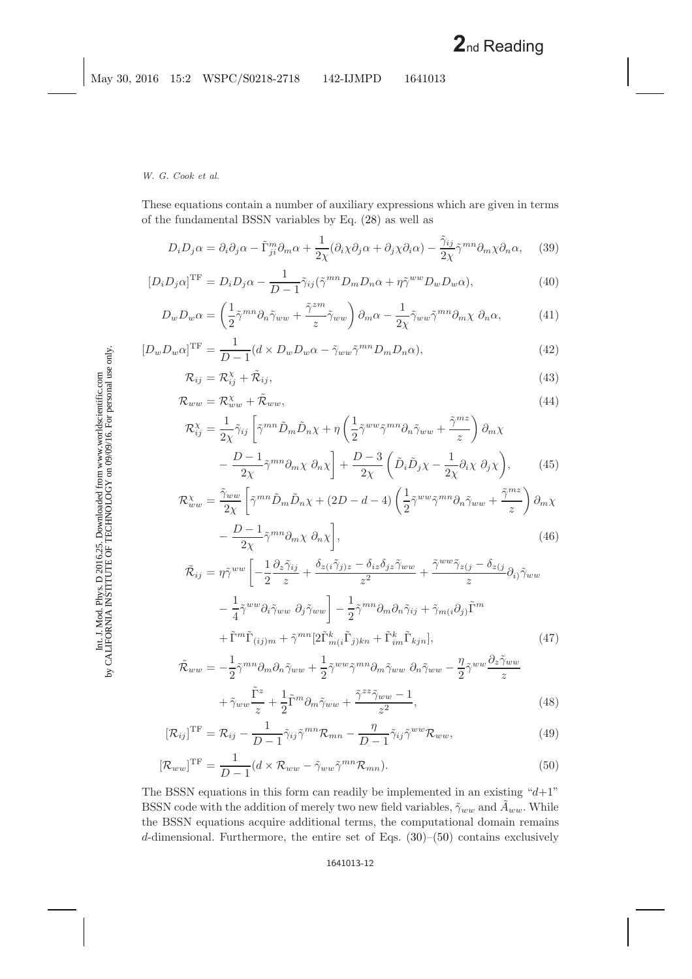<span id="page-11-1"></span><span id="page-11-0"></span>These equations contain a number of auxiliary expressions which are given in terms of the fundamental BSSN variables by Eq. [\(28\)](#page-9-0) as well as

$$
D_i D_j \alpha = \partial_i \partial_j \alpha - \tilde{\Gamma}_{ji}^m \partial_m \alpha + \frac{1}{2\chi} (\partial_i \chi \partial_j \alpha + \partial_j \chi \partial_i \alpha) - \frac{\tilde{\gamma}_{ij}}{2\chi} \tilde{\gamma}^{mn} \partial_m \chi \partial_n \alpha, \quad (39)
$$

$$
[D_i D_j \alpha]^{\text{TF}} = D_i D_j \alpha - \frac{1}{D-1} \tilde{\gamma}_{ij} (\tilde{\gamma}^{mn} D_m D_n \alpha + \eta \tilde{\gamma}^{ww} D_w D_w \alpha), \tag{40}
$$

$$
D_w D_w \alpha = \left(\frac{1}{2}\tilde{\gamma}^{mn}\partial_n \tilde{\gamma}_{ww} + \frac{\tilde{\gamma}^{zm}}{z}\tilde{\gamma}_{ww}\right)\partial_m\alpha - \frac{1}{2\chi}\tilde{\gamma}_{ww}\tilde{\gamma}^{mn}\partial_m\chi\ \partial_n\alpha,\tag{41}
$$

$$
[D_w D_w \alpha]^{\text{TF}} = \frac{1}{D-1} (d \times D_w D_w \alpha - \tilde{\gamma}_{ww} \tilde{\gamma}^{mn} D_m D_n \alpha), \tag{42}
$$

$$
\mathcal{R}_{ij} = \mathcal{R}_{ij}^{\chi} + \tilde{\mathcal{R}}_{ij},\tag{43}
$$

$$
\mathcal{R}_{ww} = \mathcal{R}_{ww}^{\chi} + \tilde{\mathcal{R}}_{ww},\tag{44}
$$

$$
\mathcal{R}_{ij}^{\chi} = \frac{1}{2\chi} \tilde{\gamma}_{ij} \left[ \tilde{\gamma}^{mn} \tilde{D}_m \tilde{D}_n \chi + \eta \left( \frac{1}{2} \tilde{\gamma}^{ww} \tilde{\gamma}^{mn} \partial_n \tilde{\gamma}_{ww} + \frac{\tilde{\gamma}^{mz}}{z} \right) \partial_m \chi - \frac{D - 1}{2\chi} \tilde{\gamma}^{mn} \partial_m \chi \partial_n \chi \right] + \frac{D - 3}{2\chi} \left( \tilde{D}_i \tilde{D}_j \chi - \frac{1}{2\chi} \partial_i \chi \partial_j \chi \right), \tag{45}
$$

$$
\mathcal{R}_{ww}^{\chi} = \frac{\tilde{\gamma}_{ww}}{2\chi} \left[ \tilde{\gamma}^{mn} \tilde{D}_m \tilde{D}_n \chi + (2D - d - 4) \left( \frac{1}{2} \tilde{\gamma}^{ww} \tilde{\gamma}^{mn} \partial_n \tilde{\gamma}_{ww} + \frac{\tilde{\gamma}^{mx}}{z} \right) \partial_m \chi - \frac{D - 1}{2} \tilde{\gamma}^{mn} \partial_m \chi \partial_n \chi \right],
$$
\n(46)

$$
-\frac{D-1}{2\chi}\tilde{\gamma}^{mn}\partial_m\chi\partial_n\chi\bigg],\tag{46}
$$
\n
$$
\left[\begin{array}{cc}1\ \partial\ \tilde{\gamma}\cdot\cdot\cdot\quad \delta\ \tilde{\gamma}\cdot\tilde{\gamma}\cdot\cdot\ -\delta\cdot\delta\cdot\tilde{\gamma}\cdot\cdot\cdot\cdot\quad \tilde{\gamma}^{ww}\tilde{\gamma}\ \tilde{\gamma}\cdot\cdot\ -\delta\ \tilde{\gamma}\cdot\cdot\cdot\end{array}\right]
$$

$$
\tilde{\mathcal{R}}_{ij} = \eta \tilde{\gamma}^{ww} \left[ -\frac{1}{2} \frac{\partial_z \tilde{\gamma}_{ij}}{z} + \frac{\delta_{z(i} \tilde{\gamma}_{j)z} - \delta_{iz} \delta_{jz} \tilde{\gamma}_{ww}}{z^2} + \frac{\tilde{\gamma}^{ww} \tilde{\gamma}_{z(j} - \delta_{z(j)}}{z} \partial_{i)} \tilde{\gamma}_{ww} \right] \n- \frac{1}{4} \tilde{\gamma}^{ww} \partial_i \tilde{\gamma}_{ww} \partial_j \tilde{\gamma}_{ww} \left] - \frac{1}{2} \tilde{\gamma}^{mn} \partial_m \partial_n \tilde{\gamma}_{ij} + \tilde{\gamma}_{m(i} \partial_j) \tilde{\Gamma}^m \n+ \tilde{\Gamma}^m \tilde{\Gamma}_{(ij)m} + \tilde{\gamma}^{mn} [2 \tilde{\Gamma}^k_{m(i} \tilde{\Gamma}_{j)kn} + \tilde{\Gamma}^k_{im} \tilde{\Gamma}_{kjn}],
$$
\n(47)

$$
\tilde{\mathcal{R}}_{ww}=-\frac{1}{2}\tilde{\gamma}^{mn}\partial_m\partial_n\tilde{\gamma}_{ww}+\frac{1}{2}\tilde{\gamma}^{ww}\tilde{\gamma}^{mn}\partial_m\tilde{\gamma}_{ww}\ \partial_n\tilde{\gamma}_{ww}-\frac{\eta}{2}\tilde{\gamma}^{ww}\frac{\partial_z\tilde{\gamma}_{ww}}{z}
$$

$$
+\tilde{\gamma}_{ww}\frac{\tilde{\Gamma}^z}{z} + \frac{1}{2}\tilde{\Gamma}^m\partial_m\tilde{\gamma}_{ww} + \frac{\tilde{\gamma}^{zz}\tilde{\gamma}_{ww} - 1}{z^2},\tag{48}
$$

$$
[\mathcal{R}_{ij}]^{\text{TF}} = \mathcal{R}_{ij} - \frac{1}{D-1} \tilde{\gamma}_{ij} \tilde{\gamma}^{mn} \mathcal{R}_{mn} - \frac{\eta}{D-1} \tilde{\gamma}_{ij} \tilde{\gamma}^{ww} \mathcal{R}_{ww},
$$
\n(49)

$$
[\mathcal{R}_{ww}]^{\text{TF}} = \frac{1}{D-1} (d \times \mathcal{R}_{ww} - \tilde{\gamma}_{ww} \tilde{\gamma}^{mn} \mathcal{R}_{mn}). \tag{50}
$$

The BSSN equations in this form can readily be implemented in an existing " $d+1$ " BSSN code with the addition of merely two new field variables,  $\tilde{\gamma}_{ww}$  and  $\tilde{A}_{ww}$ . While the BSSN equations acquire additional terms, the computational domain remains d-dimensional. Furthermore, the entire set of Eqs. [\(30\)](#page-10-0)–[\(50\)](#page-11-0) contains exclusively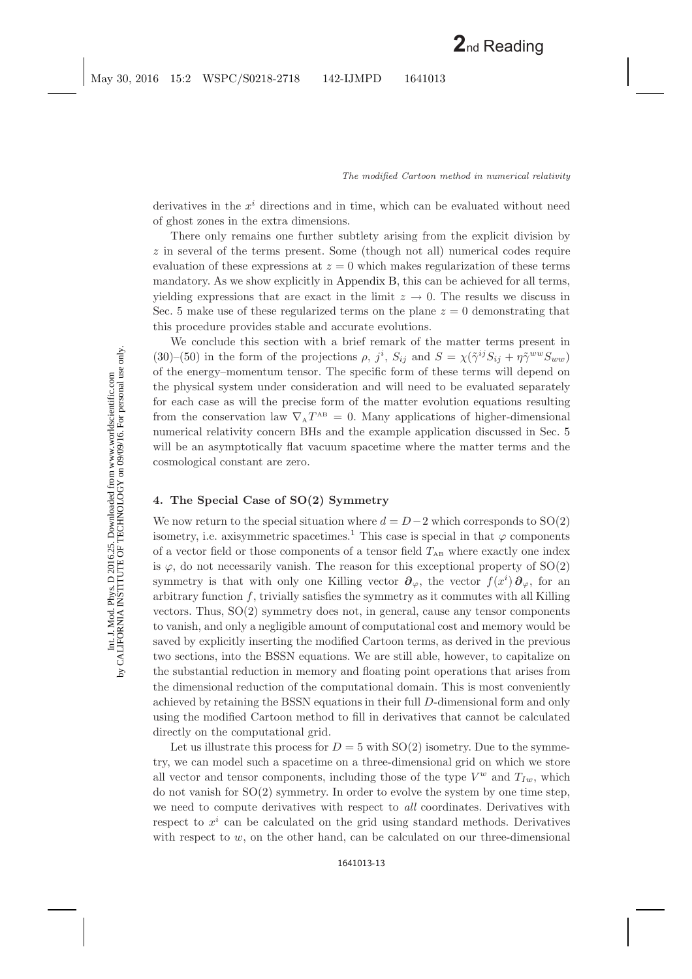derivatives in the  $x^i$  directions and in time, which can be evaluated without need of ghost zones in the extra dimensions.

There only remains one further subtlety arising from the explicit division by z in several of the terms present. Some (though not all) numerical codes require evaluation of these expressions at  $z = 0$  which makes regularization of these terms mandatory. As we show explicitly in [Appendix B,](#page-17-3) this can be achieved for all terms, yielding expressions that are exact in the limit  $z \to 0$ . The results we discuss in Sec. [5](#page-13-0) make use of these regularized terms on the plane  $z = 0$  demonstrating that this procedure provides stable and accurate evolutions.

We conclude this section with a brief remark of the matter terms present in [\(30\)](#page-10-1)–[\(50\)](#page-11-1) in the form of the projections  $\rho$ ,  $j^i$ ,  $S_{ij}$  and  $S = \chi(\tilde{\gamma}^{ij}S_{ij} + \eta \tilde{\gamma}^{ww}S_{ww})$ of the energy–momentum tensor. The specific form of these terms will depend on the physical system under consideration and will need to be evaluated separately for each case as will the precise form of the matter evolution equations resulting from the conservation law  $\nabla_{A}T^{AB} = 0$ . Many applications of higher-dimensional numerical relativity concern BHs and the example application discussed in Sec. [5](#page-13-0) will be an asymptotically flat vacuum spacetime where the matter terms and the cosmological constant are zero.

# <span id="page-12-0"></span>**4. The Special Case of SO(2) Symmetry**

We now return to the special situation where  $d = D-2$  which corresponds to SO(2) isometry, i.e. axisymmetric spacetimes.<sup>[1](#page-24-1)</sup> This case is special in that  $\varphi$  components of a vector field or those components of a tensor field  $T_{AB}$  where exactly one index is  $\varphi$ , do not necessarily vanish. The reason for this exceptional property of  $SO(2)$ symmetry is that with only one Killing vector  $\partial_{\varphi}$ , the vector  $f(x^i)\partial_{\varphi}$ , for an arbitrary function  $f$ , trivially satisfies the symmetry as it commutes with all Killing vectors. Thus, SO(2) symmetry does not, in general, cause any tensor components to vanish, and only a negligible amount of computational cost and memory would be saved by explicitly inserting the modified Cartoon terms, as derived in the previous two sections, into the BSSN equations. We are still able, however, to capitalize on the substantial reduction in memory and floating point operations that arises from the dimensional reduction of the computational domain. This is most conveniently achieved by retaining the BSSN equations in their full D-dimensional form and only using the modified Cartoon method to fill in derivatives that cannot be calculated directly on the computational grid.

Let us illustrate this process for  $D = 5$  with  $SO(2)$  isometry. Due to the symmetry, we can model such a spacetime on a three-dimensional grid on which we store all vector and tensor components, including those of the type  $V^w$  and  $T_{Iw}$ , which do not vanish for SO(2) symmetry. In order to evolve the system by one time step, we need to compute derivatives with respect to *all* coordinates. Derivatives with respect to  $x^i$  can be calculated on the grid using standard methods. Derivatives with respect to  $w$ , on the other hand, can be calculated on our three-dimensional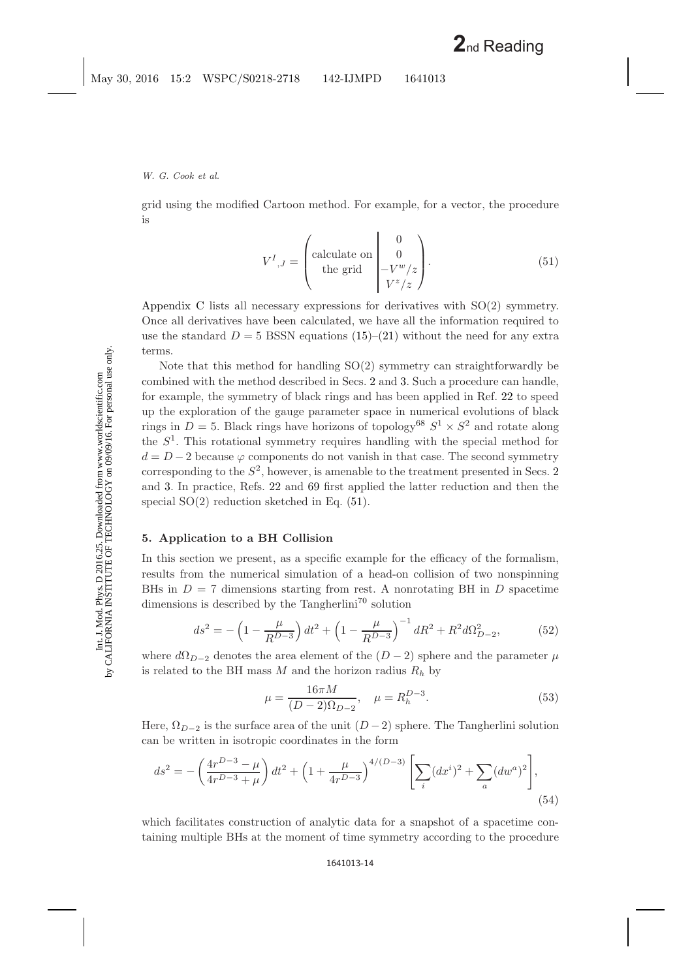grid using the modified Cartoon method. For example, for a vector, the procedure is

$$
V^{I}{}_{,J} = \begin{pmatrix} \text{calculate on} & 0\\ \text{the grid} & -V^{w}/z\\ V^{z}/z \end{pmatrix} . \tag{51}
$$

<span id="page-13-1"></span>[Appendix C](#page-22-0) lists all necessary expressions for derivatives with SO(2) symmetry. Once all derivatives have been calculated, we have all the information required to use the standard  $D = 5$  BSSN equations [\(15\)](#page-7-1)–[\(21\)](#page-8-0) without the need for any extra terms.

Note that this method for handling  $SO(2)$  symmetry can straightforwardly be combined with the method described in Secs. [2](#page-3-2) and [3.](#page-6-1) Such a procedure can handle, for example, the symmetry of black rings and has been applied in Ref. [22](#page-25-0) to speed up the exploration of the gauge parameter space in numerical evolutions of black rings in  $D = 5$ . Black rings have horizons of topology<sup>[68](#page-26-16)</sup>  $S^1 \times S^2$  and rotate along the  $S<sup>1</sup>$ . This rotational symmetry requires handling with the special method for  $d = D - 2$  because  $\varphi$  components do not vanish in that case. The second symmetry corresponding to the  $S^2$  $S^2$ , however, is amenable to the treatment presented in Secs. 2 and [3.](#page-6-1) In practice, Refs. [22](#page-25-0) and [69](#page-26-17) first applied the latter reduction and then the special  $SO(2)$  reduction sketched in Eq.  $(51)$ .

# <span id="page-13-0"></span>**5. Application to a BH Collision**

In this section we present, as a specific example for the efficacy of the formalism, results from the numerical simulation of a head-on collision of two nonspinning BHs in  $D = 7$  dimensions starting from rest. A nonrotating BH in D spacetime dimensions is described by the Tangherlini<sup>[70](#page-26-18)</sup> solution

$$
ds^{2} = -\left(1 - \frac{\mu}{R^{D-3}}\right)dt^{2} + \left(1 - \frac{\mu}{R^{D-3}}\right)^{-1}dR^{2} + R^{2}d\Omega_{D-2}^{2},\tag{52}
$$

where  $d\Omega_{D-2}$  denotes the area element of the  $(D-2)$  sphere and the parameter  $\mu$ is related to the BH mass M and the horizon radius  $R_h$  by

$$
\mu = \frac{16\pi M}{(D-2)\Omega_{D-2}}, \quad \mu = R_h^{D-3}.
$$
\n(53)

Here,  $\Omega_{D-2}$  is the surface area of the unit  $(D-2)$  sphere. The Tangherlini solution can be written in isotropic coordinates in the form

$$
ds^{2} = -\left(\frac{4r^{D-3} - \mu}{4r^{D-3} + \mu}\right)dt^{2} + \left(1 + \frac{\mu}{4r^{D-3}}\right)^{4/(D-3)} \left[\sum_{i} (dx^{i})^{2} + \sum_{a} (dw^{a})^{2}\right],
$$
\n(54)

which facilitates construction of analytic data for a snapshot of a spacetime containing multiple BHs at the moment of time symmetry according to the procedure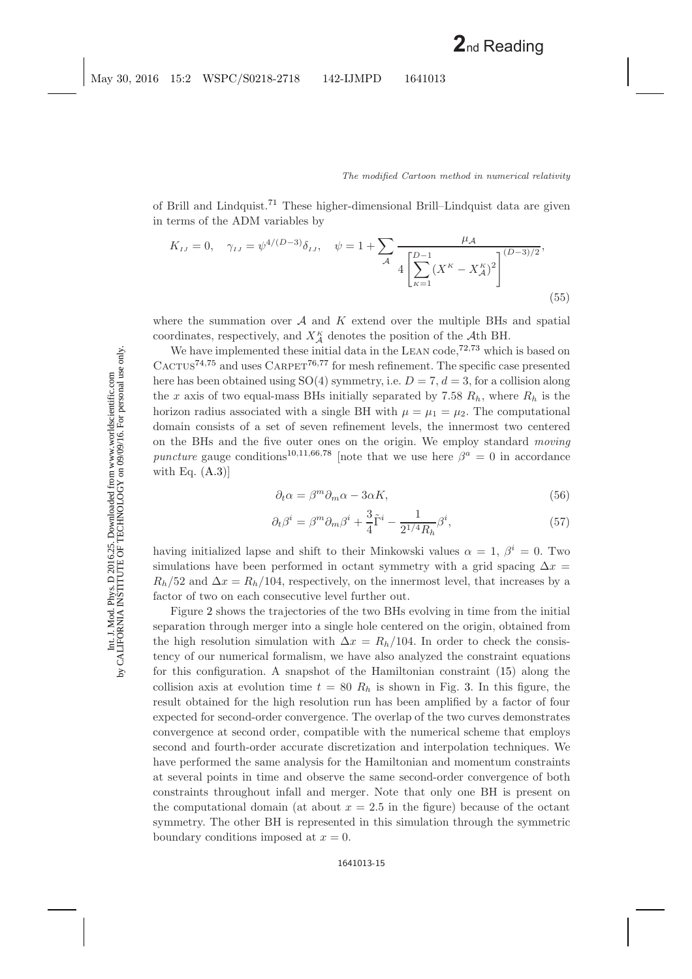of Brill and Lindquist.[71](#page-26-19) These higher-dimensional Brill–Lindquist data are given in terms of the ADM variables by

$$
K_{IJ} = 0, \quad \gamma_{IJ} = \psi^{4/(D-3)} \delta_{IJ}, \quad \psi = 1 + \sum_{\mathcal{A}} \frac{\mu_{\mathcal{A}}}{4 \left[ \sum_{\kappa=1}^{D-1} (X^{\kappa} - X^{\kappa}_{\mathcal{A}})^2 \right]^{(D-3)/2}},
$$
\n(55)

where the summation over  $A$  and  $K$  extend over the multiple BHs and spatial coordinates, respectively, and  $X^{\kappa}_{\mathcal{A}}$  denotes the position of the  $\mathcal{A}$ th BH.

We have implemented these initial data in the LEAN code,<sup> $72,73$  $72,73$ </sup> which is based on  $C_A$ CTUS<sup>[74,](#page-26-22)[75](#page-26-23)</sup> and uses  $C_A$ RPET<sup>[76,](#page-26-24)[77](#page-26-25)</sup> for mesh refinement. The specific case presented here has been obtained using  $SO(4)$  symmetry, i.e.  $D = 7, d = 3$ , for a collision along the x axis of two equal-mass BHs initially separated by 7.58  $R_h$ , where  $R_h$  is the horizon radius associated with a single BH with  $\mu = \mu_1 = \mu_2$ . The computational domain consists of a set of seven refinement levels, the innermost two centered on the BHs and the five outer ones on the origin. We employ standard *moving puncture* gauge conditions<sup>[10,](#page-24-25)[11,](#page-24-26)[66](#page-26-26)[,78](#page-26-27) [note that we use here  $\beta^a = 0$  in accordance</sup> with Eq.  $(A.3)$ ]

$$
\partial_t \alpha = \beta^m \partial_m \alpha - 3\alpha K,\tag{56}
$$

$$
\partial_t \beta^i = \beta^m \partial_m \beta^i + \frac{3}{4} \tilde{\Gamma}^i - \frac{1}{2^{1/4} R_h} \beta^i,\tag{57}
$$

having initialized lapse and shift to their Minkowski values  $\alpha = 1, \beta^i = 0$ . Two simulations have been performed in octant symmetry with a grid spacing  $\Delta x =$  $R_h/52$  and  $\Delta x = R_h/104$ , respectively, on the innermost level, that increases by a factor of two on each consecutive level further out.

Figure [2](#page-15-1) shows the trajectories of the two BHs evolving in time from the initial separation through merger into a single hole centered on the origin, obtained from the high resolution simulation with  $\Delta x = R_h/104$ . In order to check the consistency of our numerical formalism, we have also analyzed the constraint equations for this configuration. A snapshot of the Hamiltonian constraint [\(15\)](#page-7-2) along the collision axis at evolution time  $t = 80 R<sub>h</sub>$  is shown in Fig. [3.](#page-15-2) In this figure, the result obtained for the high resolution run has been amplified by a factor of four expected for second-order convergence. The overlap of the two curves demonstrates convergence at second order, compatible with the numerical scheme that employs second and fourth-order accurate discretization and interpolation techniques. We have performed the same analysis for the Hamiltonian and momentum constraints at several points in time and observe the same second-order convergence of both constraints throughout infall and merger. Note that only one BH is present on the computational domain (at about  $x = 2.5$  in the figure) because of the octant symmetry. The other BH is represented in this simulation through the symmetric boundary conditions imposed at  $x = 0$ .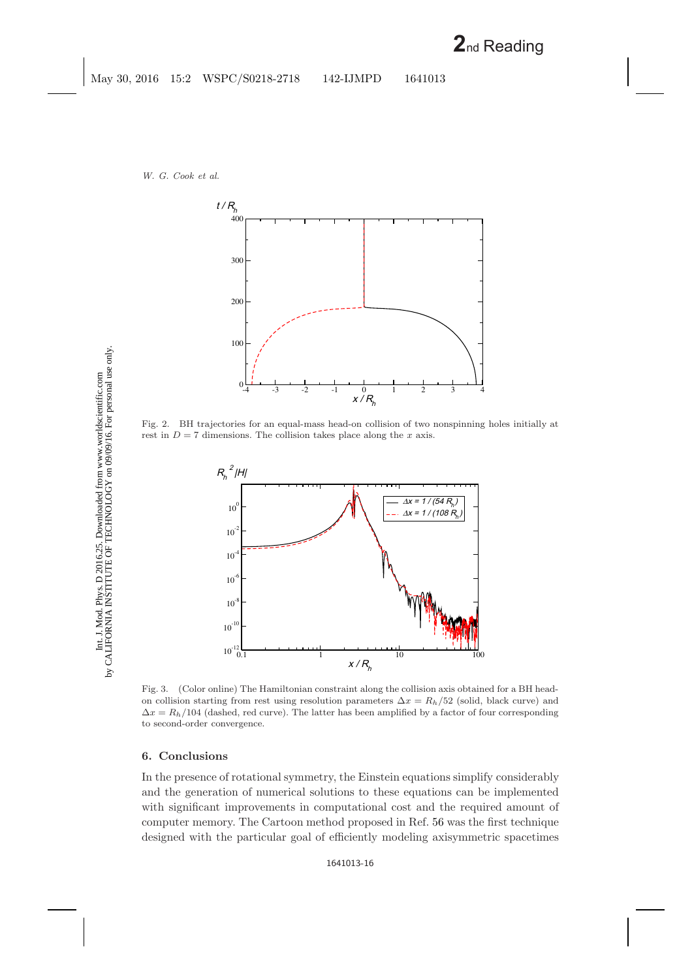

<span id="page-15-1"></span>Fig. 2. BH trajectories for an equal-mass head-on collision of two nonspinning holes initially at rest in  $D = 7$  dimensions. The collision takes place along the x axis.



<span id="page-15-2"></span>Fig. 3. (Color online) The Hamiltonian constraint along the collision axis obtained for a BH headon collision starting from rest using resolution parameters  $\Delta x = R_h/52$  (solid, black curve) and  $\Delta x = R_h/104$  (dashed, red curve). The latter has been amplified by a factor of four corresponding to second-order convergence.

## <span id="page-15-0"></span>**6. Conclusions**

In the presence of rotational symmetry, the Einstein equations simplify considerably and the generation of numerical solutions to these equations can be implemented with significant improvements in computational cost and the required amount of computer memory. The Cartoon method proposed in Ref. [56](#page-26-7) was the first technique designed with the particular goal of efficiently modeling axisymmetric spacetimes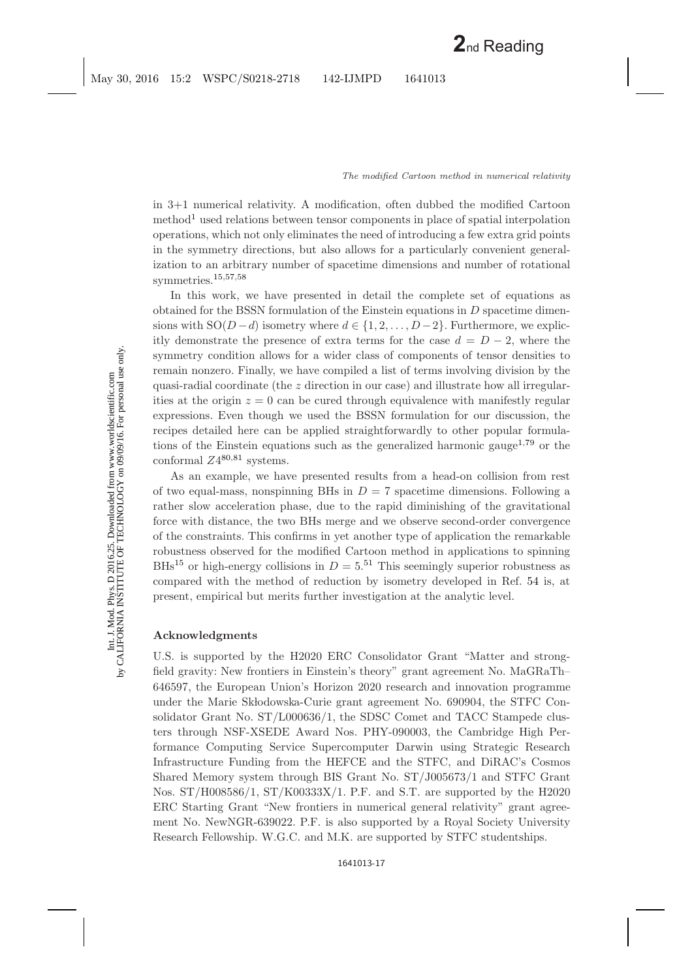in 3+1 numerical relativity. A modification, often dubbed the modified Cartoon method<sup>[1](#page-24-1)</sup> used relations between tensor components in place of spatial interpolation operations, which not only eliminates the need of introducing a few extra grid points in the symmetry directions, but also allows for a particularly convenient generalization to an arbitrary number of spacetime dimensions and number of rotational symmetries.[15](#page-24-23)[,57,](#page-26-3)[58](#page-26-4)

In this work, we have presented in detail the complete set of equations as obtained for the BSSN formulation of the Einstein equations in  $D$  spacetime dimensions with  $SO(D-d)$  isometry where  $d \in \{1, 2, ..., D-2\}$ . Furthermore, we explicitly demonstrate the presence of extra terms for the case  $d = D - 2$ , where the symmetry condition allows for a wider class of components of tensor densities to remain nonzero. Finally, we have compiled a list of terms involving division by the quasi-radial coordinate (the z direction in our case) and illustrate how all irregularities at the origin  $z = 0$  can be cured through equivalence with manifestly regular expressions. Even though we used the BSSN formulation for our discussion, the recipes detailed here can be applied straightforwardly to other popular formula-tions of the Einstein equations such as the generalized harmonic gauge<sup>[1,](#page-24-1)[79](#page-26-28)</sup> or the conformal  $Z4^{80,81}$  $Z4^{80,81}$  $Z4^{80,81}$  $Z4^{80,81}$  systems.

As an example, we have presented results from a head-on collision from rest of two equal-mass, nonspinning BHs in  $D = 7$  spacetime dimensions. Following a rather slow acceleration phase, due to the rapid diminishing of the gravitational force with distance, the two BHs merge and we observe second-order convergence of the constraints. This confirms in yet another type of application the remarkable robustness observed for the modified Cartoon method in applications to spinning BHs<sup>[15](#page-24-23)</sup> or high-energy collisions in  $D = 5^{51}$  $D = 5^{51}$  $D = 5^{51}$  This seemingly superior robustness as compared with the method of reduction by isometry developed in Ref. [54](#page-26-31) is, at present, empirical but merits further investigation at the analytic level.

### **Acknowledgments**

U.S. is supported by the H2020 ERC Consolidator Grant "Matter and strongfield gravity: New frontiers in Einstein's theory" grant agreement No. MaGRaTh– 646597, the European Union's Horizon 2020 research and innovation programme under the Marie Sklodowska-Curie grant agreement No. 690904, the STFC Consolidator Grant No. ST/L000636/1, the SDSC Comet and TACC Stampede clusters through NSF-XSEDE Award Nos. PHY-090003, the Cambridge High Performance Computing Service Supercomputer Darwin using Strategic Research Infrastructure Funding from the HEFCE and the STFC, and DiRAC's Cosmos Shared Memory system through BIS Grant No. ST/J005673/1 and STFC Grant Nos. ST/H008586/1, ST/K00333X/1. P.F. and S.T. are supported by the H2020 ERC Starting Grant "New frontiers in numerical general relativity" grant agreement No. NewNGR-639022. P.F. is also supported by a Royal Society University Research Fellowship. W.G.C. and M.K. are supported by STFC studentships.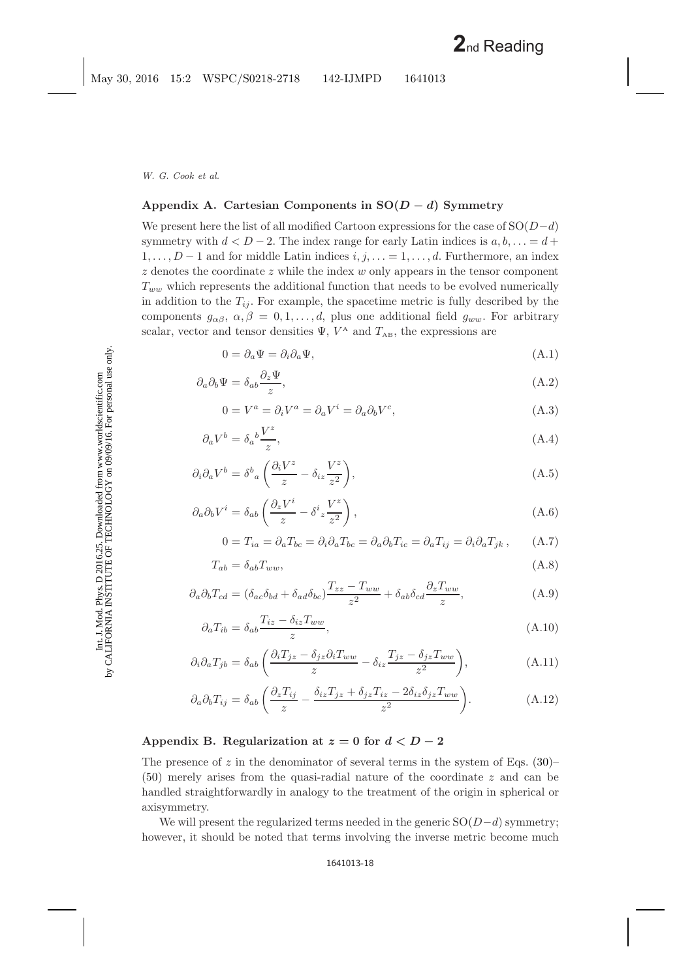# <span id="page-17-1"></span><span id="page-17-0"></span>**Appendix A. Cartesian Components in SO(***<sup>D</sup> <sup>−</sup> <sup>d</sup>***) Symmetry**

We present here the list of all modified Cartoon expressions for the case of  $SO(D-d)$ symmetry with  $d < D - 2$ . The index range for early Latin indices is  $a, b, \ldots = d +$  $1,\ldots,D-1$  and for middle Latin indices  $i, j, \ldots = 1, \ldots, d$ . Furthermore, an index  $z$  denotes the coordinate  $z$  while the index  $w$  only appears in the tensor component  $T_{ww}$  which represents the additional function that needs to be evolved numerically in addition to the  $T_{ij}$ . For example, the spacetime metric is fully described by the components  $g_{\alpha\beta}, \alpha, \beta = 0, 1, \ldots, d$ , plus one additional field  $g_{ww}$ . For arbitrary scalar, vector and tensor densities  $\Psi$ ,  $V^{\text{A}}$  and  $T_{\text{AB}}$ , the expressions are

$$
0 = \partial_a \Psi = \partial_i \partial_a \Psi,
$$
\n(A.1)

<span id="page-17-5"></span><span id="page-17-4"></span>
$$
\partial_a \partial_b \Psi = \delta_{ab} \frac{\partial_z \Psi}{z},\tag{A.2}
$$

$$
0 = V^a = \partial_i V^a = \partial_a V^i = \partial_a \partial_b V^c,
$$
\n(A.3)

$$
\partial_a V^b = \delta_a{}^b \frac{V^z}{z},\tag{A.4}
$$

$$
\partial_i \partial_a V^b = \delta^b{}_a \left( \frac{\partial_i V^z}{z} - \delta_{iz} \frac{V^z}{z^2} \right), \tag{A.5}
$$

$$
\partial_a \partial_b V^i = \delta_{ab} \left( \frac{\partial_z V^i}{z} - \delta^i z \frac{V^z}{z^2} \right), \tag{A.6}
$$

$$
0 = T_{ia} = \partial_a T_{bc} = \partial_i \partial_a T_{bc} = \partial_a \partial_b T_{ic} = \partial_a T_{ij} = \partial_i \partial_a T_{jk}, \qquad (A.7)
$$

$$
T_{ab} = \delta_{ab} T_{ww},\tag{A.8}
$$

$$
\partial_a \partial_b T_{cd} = (\delta_{ac} \delta_{bd} + \delta_{ad} \delta_{bc}) \frac{T_{zz} - T_{ww}}{z^2} + \delta_{ab} \delta_{cd} \frac{\partial_z T_{ww}}{z},\tag{A.9}
$$

$$
\partial_a T_{ib} = \delta_{ab} \frac{T_{iz} - \delta_{iz} T_{ww}}{z},\tag{A.10}
$$

$$
\partial_i \partial_a T_{jb} = \delta_{ab} \left( \frac{\partial_i T_{jz} - \delta_{jz} \partial_i T_{ww}}{z} - \delta_{iz} \frac{T_{jz} - \delta_{jz} T_{ww}}{z^2} \right), \tag{A.11}
$$

$$
\partial_a \partial_b T_{ij} = \delta_{ab} \left( \frac{\partial_z T_{ij}}{z} - \frac{\delta_{iz} T_{jz} + \delta_{jz} T_{iz} - 2\delta_{iz} \delta_{jz} T_{ww}}{z^2} \right). \tag{A.12}
$$

### <span id="page-17-3"></span><span id="page-17-2"></span>Appendix B. Regularization at  $z = 0$  for  $d < D-2$

The presence of z in the denominator of several terms in the system of Eqs.  $(30)$ – [\(50\)](#page-11-0) merely arises from the quasi-radial nature of the coordinate z and can be handled straightforwardly in analogy to the treatment of the origin in spherical or axisymmetry.

We will present the regularized terms needed in the generic  $SO(D-d)$  symmetry; however, it should be noted that terms involving the inverse metric become much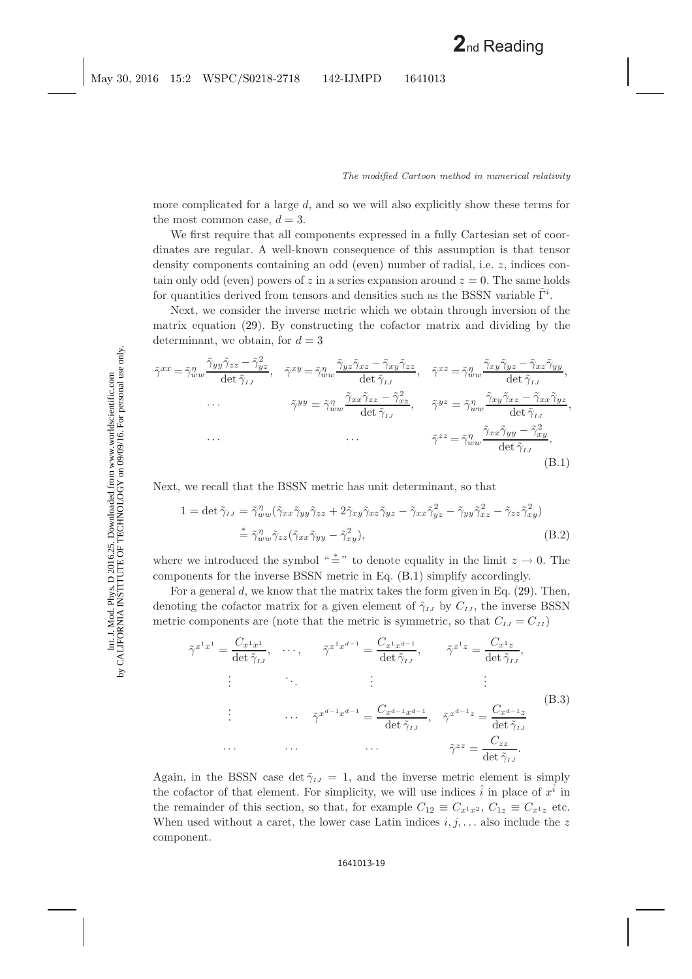more complicated for a large d, and so we will also explicitly show these terms for the most common case,  $d = 3$ .

We first require that all components expressed in a fully Cartesian set of coordinates are regular. A well-known consequence of this assumption is that tensor density components containing an odd (even) number of radial, i.e. z, indices contain only odd (even) powers of z in a series expansion around  $z = 0$ . The same holds for quantities derived from tensors and densities such as the BSSN variable  $\tilde{\Gamma}^i$ .

Next, we consider the inverse metric which we obtain through inversion of the matrix equation [\(29\)](#page-9-1). By constructing the cofactor matrix and dividing by the determinant, we obtain, for  $d = 3$ 

<span id="page-18-0"></span>
$$
\tilde{\gamma}^{xx} = \tilde{\gamma}_{ww}^{\eta} \frac{\tilde{\gamma}_{yy} \tilde{\gamma}_{zz} - \tilde{\gamma}_{yz}^2}{\det \tilde{\gamma}_{IJ}}, \quad \tilde{\gamma}^{xy} = \tilde{\gamma}_{ww}^{\eta} \frac{\tilde{\gamma}_{yz} \tilde{\gamma}_{xz} - \tilde{\gamma}_{xy} \tilde{\gamma}_{zz}}{\det \tilde{\gamma}_{IJ}}, \quad \tilde{\gamma}^{xz} = \tilde{\gamma}_{ww}^{\eta} \frac{\tilde{\gamma}_{xy} \tilde{\gamma}_{yz} - \tilde{\gamma}_{xz} \tilde{\gamma}_{yy}}{\det \tilde{\gamma}_{IJ}},
$$
\n
$$
\cdots \qquad \tilde{\gamma}^{yy} = \tilde{\gamma}_{ww}^{\eta} \frac{\tilde{\gamma}_{xx} \tilde{\gamma}_{zz} - \tilde{\gamma}_{zz}^2}{\det \tilde{\gamma}_{IJ}}, \qquad \tilde{\gamma}^{yz} = \tilde{\gamma}_{ww}^{\eta} \frac{\tilde{\gamma}_{xy} \tilde{\gamma}_{xz} - \tilde{\gamma}_{xx} \tilde{\gamma}_{yz}}{\det \tilde{\gamma}_{IJ}},
$$
\n
$$
\cdots \qquad \cdots \qquad \tilde{\gamma}^{zz} = \tilde{\gamma}_{ww}^{\eta} \frac{\tilde{\gamma}_{xx} \tilde{\gamma}_{yy} - \tilde{\gamma}_{xy}^2}{\det \tilde{\gamma}_{IJ}}.
$$
\n(B.1)

Next, we recall that the BSSN metric has unit determinant, so that

$$
1 = \det \tilde{\gamma}_{IJ} = \tilde{\gamma}_{ww}^{\eta} (\tilde{\gamma}_{xx}\tilde{\gamma}_{yy}\tilde{\gamma}_{zz} + 2\tilde{\gamma}_{xy}\tilde{\gamma}_{xz}\tilde{\gamma}_{yz} - \tilde{\gamma}_{xx}\tilde{\gamma}_{yz}^2 - \tilde{\gamma}_{yy}\tilde{\gamma}_{xz}^2 - \tilde{\gamma}_{zz}\tilde{\gamma}_{xy}^2)
$$
  

$$
\stackrel{*}{=} \tilde{\gamma}_{ww}^{\eta} \tilde{\gamma}_{zz} (\tilde{\gamma}_{xx}\tilde{\gamma}_{yy} - \tilde{\gamma}_{xy}^2), \tag{B.2}
$$

where we introduced the symbol " $\stackrel{*}{=}$ " to denote equality in the limit  $z \to 0$ . The components for the inverse BSSN metric in Eq. [\(B.1\)](#page-18-0) simplify accordingly.

For a general  $d$ , we know that the matrix takes the form given in Eq.  $(29)$ . Then, denoting the cofactor matrix for a given element of  $\tilde{\gamma}_{IJ}$  by  $C_{IJ}$ , the inverse BSSN metric components are (note that the metric is symmetric, so that  $C_{IJ} = C_{JI}$ )

$$
\tilde{\gamma}^{x^1 x^1} = \frac{C_{x^1 x^1}}{\det \tilde{\gamma}_{IJ}}, \quad \cdots, \quad \tilde{\gamma}^{x^1 x^{d-1}} = \frac{C_{x^1 x^{d-1}}}{\det \tilde{\gamma}_{IJ}}, \quad \tilde{\gamma}^{x^1 z} = \frac{C_{x^1 z}}{\det \tilde{\gamma}_{IJ}},
$$
\n
$$
\vdots \qquad \vdots \qquad \vdots
$$
\n
$$
\tilde{\gamma}^{x^{d-1} x^{d-1}} = \frac{C_{x^{d-1} x^{d-1}}}{\det \tilde{\gamma}_{IJ}}, \quad \tilde{\gamma}^{x^{d-1} z} = \frac{C_{x^{d-1} z}}{\det \tilde{\gamma}_{IJ}}
$$
\n
$$
\cdots \qquad \cdots \qquad \cdots \qquad \tilde{\gamma}^{zz} = \frac{C_{zz}}{\det \tilde{\gamma}_{IJ}}.
$$
\n(B.3)

Again, in the BSSN case det  $\tilde{\gamma}_{IJ} = 1$ , and the inverse metric element is simply the cofactor of that element. For simplicity, we will use indices  $\hat{i}$  in place of  $x^i$  in the remainder of this section, so that, for example  $C_{12} \equiv C_{x^1x^2}$ ,  $C_{1z} \equiv C_{x^1z}$  etc. When used without a caret, the lower case Latin indices  $i, j, \ldots$  also include the z component.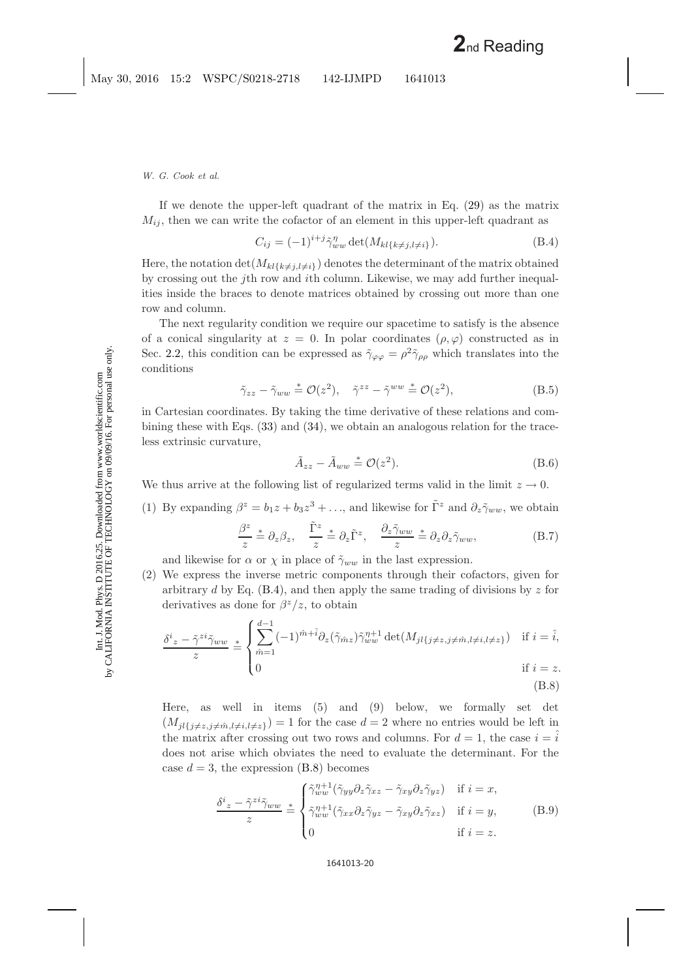If we denote the upper-left quadrant of the matrix in Eq. [\(29\)](#page-9-2) as the matrix  $M_{ij}$ , then we can write the cofactor of an element in this upper-left quadrant as

$$
C_{ij} = (-1)^{i+j} \tilde{\gamma}_{ww}^{\eta} \det(M_{kl\{k \neq j, l \neq i\}}). \tag{B.4}
$$

<span id="page-19-0"></span>Here, the notation  $\det(M_{kl\{k\neq j, l\neq i\}})$  denotes the determinant of the matrix obtained by crossing out the jth row and ith column. Likewise, we may add further inequalities inside the braces to denote matrices obtained by crossing out more than one row and column.

The next regularity condition we require our spacetime to satisfy is the absence of a conical singularity at  $z = 0$ . In polar coordinates  $(\rho, \varphi)$  constructed as in Sec. [2.2,](#page-5-3) this condition can be expressed as  $\tilde{\gamma}_{\varphi\varphi} = \rho^2 \tilde{\gamma}_{\rho\rho}$  which translates into the conditions

$$
\tilde{\gamma}_{zz} - \tilde{\gamma}_{ww} \stackrel{*}{=} \mathcal{O}(z^2), \quad \tilde{\gamma}^{zz} - \tilde{\gamma}^{ww} \stackrel{*}{=} \mathcal{O}(z^2), \tag{B.5}
$$

in Cartesian coordinates. By taking the time derivative of these relations and combining these with Eqs.  $(33)$  and  $(34)$ , we obtain an analogous relation for the traceless extrinsic curvature,

$$
\tilde{A}_{zz} - \tilde{A}_{ww} \stackrel{*}{=} \mathcal{O}(z^2). \tag{B.6}
$$

We thus arrive at the following list of regularized terms valid in the limit  $z \to 0$ .

(1) By expanding  $\beta^z = b_1z + b_3z^3 + \dots$ , and likewise for  $\tilde{\Gamma}^z$  and  $\partial_z \tilde{\gamma}_{ww}$ , we obtain

$$
\frac{\beta^z}{z} \stackrel{*}{=} \partial_z \beta_z, \quad \frac{\tilde{\Gamma}^z}{z} \stackrel{*}{=} \partial_z \tilde{\Gamma}^z, \quad \frac{\partial_z \tilde{\gamma}_{ww}}{z} \stackrel{*}{=} \partial_z \partial_z \tilde{\gamma}_{ww}, \tag{B.7}
$$

<span id="page-19-3"></span>and likewise for  $\alpha$  or  $\chi$  in place of  $\tilde{\gamma}_{ww}$  in the last expression.

(2) We express the inverse metric components through their cofactors, given for arbitrary d by Eq.  $(B.4)$ , and then apply the same trading of divisions by z for derivatives as done for  $\beta^{z}/z$ , to obtain

<span id="page-19-2"></span><span id="page-19-1"></span>
$$
\frac{\delta^i z - \tilde{\gamma}^{zi} \tilde{\gamma}_{ww}}{z} \stackrel{*}{=} \begin{cases} \sum_{\hat{m}=1}^{d-1} (-1)^{\hat{m}+\hat{i}} \partial_z(\tilde{\gamma}_{\hat{m}z}) \tilde{\gamma}_{ww}^{\eta+1} \det(M_{jl}\{j \neq z, j \neq \hat{m}, l \neq i, l \neq z\}) & \text{if } i = \hat{i}, \\ 0 & \text{if } i = z. \end{cases}
$$

(B.8)

Here, as well in items (5) and (9) below, we formally set det  $(M_{jl\{j\neq z,j\neq \hat{m},l\neq i,l\neq z\}})=1$  for the case  $d=2$  where no entries would be left in the matrix after crossing out two rows and columns. For  $d = 1$ , the case  $i = i$ does not arise which obviates the need to evaluate the determinant. For the case  $d = 3$ , the expression [\(B.8\)](#page-19-1) becomes

$$
\frac{\delta^{i} z - \tilde{\gamma}^{zi} \tilde{\gamma}_{ww}}{z} \stackrel{*}{=} \begin{cases} \tilde{\gamma}_{ww}^{\eta+1} (\tilde{\gamma}_{yy} \partial_z \tilde{\gamma}_{xz} - \tilde{\gamma}_{xy} \partial_z \tilde{\gamma}_{yz}) & \text{if } i = x, \\ \tilde{\gamma}_{ww}^{\eta+1} (\tilde{\gamma}_{xx} \partial_z \tilde{\gamma}_{yz} - \tilde{\gamma}_{xy} \partial_z \tilde{\gamma}_{xz}) & \text{if } i = y, \\ 0 & \text{if } i = z. \end{cases}
$$
(B.9)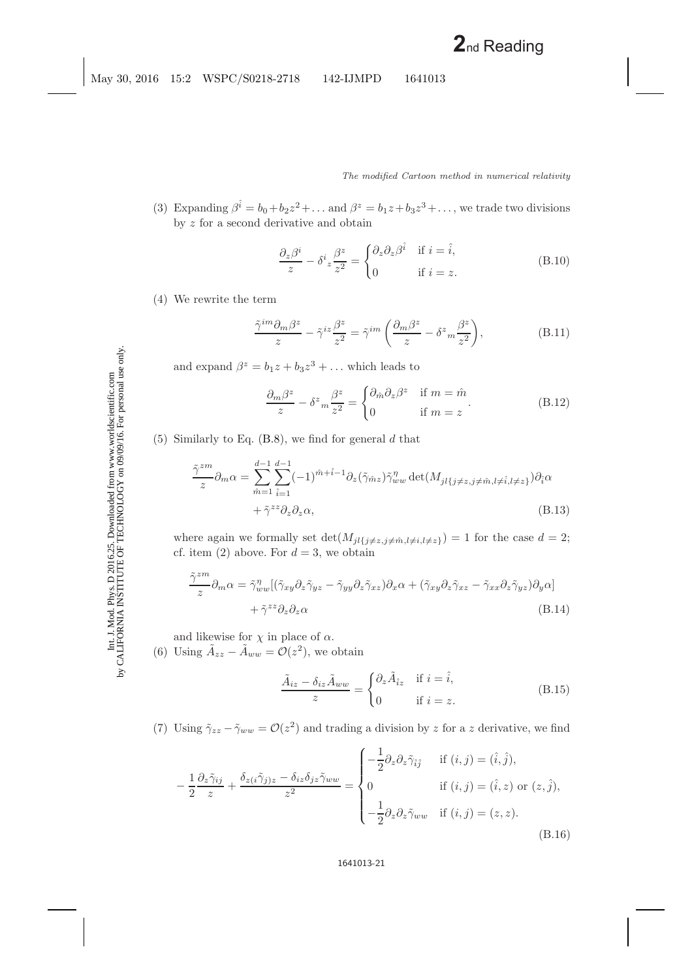(3) Expanding  $\beta^{\hat{i}} = b_0 + b_2 z^2 + \dots$  and  $\beta^z = b_1 z + b_3 z^3 + \dots$ , we trade two divisions by  $z$  for a second derivative and obtain

$$
\frac{\partial_z \beta^i}{z} - \delta^i z \frac{\beta^z}{z^2} = \begin{cases} \partial_z \partial_z \beta^{\hat{i}} & \text{if } i = \hat{i}, \\ 0 & \text{if } i = z. \end{cases}
$$
 (B.10)

(4) We rewrite the term

$$
\frac{\tilde{\gamma}^{im}\partial_m\beta^z}{z} - \tilde{\gamma}^{iz}\frac{\beta^z}{z^2} = \tilde{\gamma}^{im}\left(\frac{\partial_m\beta^z}{z} - \delta^z{}_m\frac{\beta^z}{z^2}\right),\tag{B.11}
$$

<span id="page-20-0"></span>and expand  $\beta^z = b_1 z + b_3 z^3 + \dots$  which leads to

$$
\frac{\partial_m \beta^z}{z} - \delta^z m \frac{\beta^z}{z^2} = \begin{cases} \partial_{\hat{m}} \partial_z \beta^z & \text{if } m = \hat{m} \\ 0 & \text{if } m = z \end{cases}.
$$
 (B.12)

(5) Similarly to Eq.  $(B.8)$ , we find for general d that

$$
\frac{\tilde{\gamma}^{zm}}{z} \partial_m \alpha = \sum_{\hat{m}=1}^{d-1} \sum_{\hat{i}=1}^{d-1} (-1)^{\hat{m}+\hat{i}-1} \partial_z(\tilde{\gamma}_{\hat{m}z}) \tilde{\gamma}_{ww}^{\eta} \det(M_{jl\{j\neq z,j\neq \hat{m},l\neq \hat{i},l\neq z\}}) \partial_{\hat{i}} \alpha + \tilde{\gamma}^{zz} \partial_z \partial_z \alpha,
$$
\n(B.13)

where again we formally set  $\det(M_{jl\{j\neq z,j\neq \hat{m},l\neq i,l\neq z\}})=1$  for the case  $d=2$ ; cf. item (2) above. For  $d = 3$ , we obtain

$$
\frac{\tilde{\gamma}^{zm}}{z} \partial_m \alpha = \tilde{\gamma}_{ww}^{\eta} [(\tilde{\gamma}_{xy} \partial_z \tilde{\gamma}_{yz} - \tilde{\gamma}_{yy} \partial_z \tilde{\gamma}_{xz}) \partial_x \alpha + (\tilde{\gamma}_{xy} \partial_z \tilde{\gamma}_{xz} - \tilde{\gamma}_{xx} \partial_z \tilde{\gamma}_{yz}) \partial_y \alpha] + \tilde{\gamma}^{zz} \partial_z \partial_z \alpha
$$
\n(B.14)

and likewise for  $\chi$  in place of  $\alpha$ .

(6) Using  $\tilde{A}_{zz} - \tilde{A}_{ww} = \mathcal{O}(z^2)$ , we obtain

$$
\frac{\tilde{A}_{iz} - \delta_{iz}\tilde{A}_{ww}}{z} = \begin{cases} \partial_z \tilde{A}_{iz} & \text{if } i = \hat{i}, \\ 0 & \text{if } i = z. \end{cases}
$$
(B.15)

(7) Using  $\tilde{\gamma}_{zz} - \tilde{\gamma}_{ww} = \mathcal{O}(z^2)$  and trading a division by z for a z derivative, we find

$$
-\frac{1}{2}\frac{\partial_z\tilde{\gamma}_{ij}}{z} + \frac{\delta_{z(i}\tilde{\gamma}_{j)z} - \delta_{iz}\delta_{jz}\tilde{\gamma}_{ww}}{z^2} = \begin{cases}\n-\frac{1}{2}\partial_z\partial_z\tilde{\gamma}_{\hat{i}\hat{j}} & \text{if } (i,j) = (\hat{i},\hat{j}), \\
0 & \text{if } (i,j) = (\hat{i},z) \text{ or } (z,\hat{j}), \\
-\frac{1}{2}\partial_z\partial_z\tilde{\gamma}_{ww} & \text{if } (i,j) = (z,z).\n\end{cases}
$$
\n(B.16)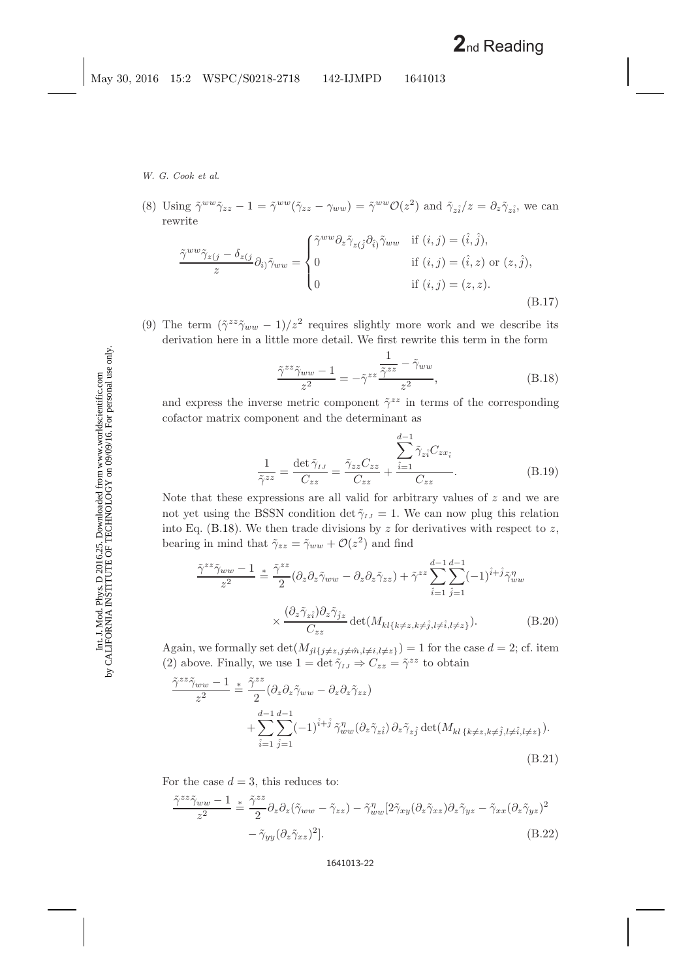(8) Using  $\tilde{\gamma}^{ww}\tilde{\gamma}_{zz} - 1 = \tilde{\gamma}^{ww}(\tilde{\gamma}_{zz} - \gamma_{ww}) = \tilde{\gamma}^{ww}\mathcal{O}(z^2)$  and  $\tilde{\gamma}_{z\hat{i}}/z = \partial_z\tilde{\gamma}_{z\hat{i}}$ , we can rewrite

$$
\frac{\tilde{\gamma}^{ww}\tilde{\gamma}_{z(j)} - \delta_{z(j)}}{z} \partial_{i\jmath}\tilde{\gamma}_{ww} = \begin{cases}\n\tilde{\gamma}^{ww}\partial_{z}\tilde{\gamma}_{z(j}\partial_{\hat{i}})\tilde{\gamma}_{ww} & \text{if } (i,j) = (\hat{i},\hat{j}), \\
0 & \text{if } (i,j) = (\hat{i},z) \text{ or } (z,\hat{j}), \\
0 & \text{if } (i,j) = (z,z).\n\end{cases}
$$
\n(B.17)

(9) The term  $(\tilde{\gamma}^{zz}\tilde{\gamma}_{ww} - 1)/z^2$  requires slightly more work and we describe its derivation here in a little more detail. We first rewrite this term in the form

$$
\frac{\tilde{\gamma}^{zz}\tilde{\gamma}_{ww} - 1}{z^2} = -\tilde{\gamma}^{zz} \frac{\frac{1}{\tilde{\gamma}^{zz}} - \tilde{\gamma}_{ww}}{z^2},
$$
\n(B.18)

<span id="page-21-0"></span>and express the inverse metric component  $\tilde{\gamma}^{zz}$  in terms of the corresponding cofactor matrix component and the determinant as

$$
\frac{1}{\tilde{\gamma}^{zz}} = \frac{\det \tilde{\gamma}_{IJ}}{C_{zz}} = \frac{\tilde{\gamma}_{zz} C_{zz}}{C_{zz}} + \frac{\sum_{i=1}^{d-1} \tilde{\gamma}_{zi} C_{zx_i}}{C_{zz}}.
$$
(B.19)

Note that these expressions are all valid for arbitrary values of  $z$  and we are not yet using the BSSN condition det  $\tilde{\gamma}_{IJ} = 1$ . We can now plug this relation into Eq. [\(B.18\)](#page-21-0). We then trade divisions by  $z$  for derivatives with respect to  $z$ , bearing in mind that  $\tilde{\gamma}_{zz} = \tilde{\gamma}_{ww} + \mathcal{O}(z^2)$  and find

$$
\frac{\tilde{\gamma}^{zz}\tilde{\gamma}_{ww}-1}{z^2} \stackrel{\ast}{=} \frac{\tilde{\gamma}^{zz}}{2} (\partial_z \partial_z \tilde{\gamma}_{ww} - \partial_z \partial_z \tilde{\gamma}_{zz}) + \tilde{\gamma}^{zz} \sum_{\hat{i}=1}^{d-1} \sum_{\hat{j}=1}^{d-1} (-1)^{\hat{i}+\hat{j}} \tilde{\gamma}_{ww}^{\eta} \times \frac{(\partial_z \tilde{\gamma}_{z\hat{i}}) \partial_z \tilde{\gamma}_{\hat{j}z}}{C_{zz}} \det(M_{kl\{k\neq z,k\neq \hat{j},l\neq \hat{i},l\neq z\}}).
$$
 (B.20)

Again, we formally set  $\det(M_{jl\{j\neq z,j\neq \hat{m},l\neq i,l\neq z\}})=1$  for the case  $d=2$ ; cf. item (2) above. Finally, we use  $1 = \det \tilde{\gamma}_{IJ} \Rightarrow C_{zz} = \tilde{\gamma}^{zz}$  to obtain

$$
\frac{\tilde{\gamma}^{zz}\tilde{\gamma}_{ww}-1}{z^2} \stackrel{*}{=} \frac{\tilde{\gamma}^{zz}}{2} (\partial_z \partial_z \tilde{\gamma}_{ww} - \partial_z \partial_z \tilde{\gamma}_{zz}) \n+ \sum_{\hat{i}=1}^{d-1} \sum_{\hat{j}=1}^{d-1} (-1)^{\hat{i}+\hat{j}} \tilde{\gamma}_{ww}^{\eta} (\partial_z \tilde{\gamma}_{z\hat{i}}) \partial_z \tilde{\gamma}_{z\hat{j}} \det(M_{kl} \{k \neq z, k \neq \hat{j}, l \neq \hat{i}, l \neq z\}).
$$
\n(B.21)

For the case  $d = 3$ , this reduces to:

$$
\frac{\tilde{\gamma}^{zz}\tilde{\gamma}_{ww}-1}{z^2} \stackrel{*}{=} \frac{\tilde{\gamma}^{zz}}{2} \partial_z \partial_z (\tilde{\gamma}_{ww} - \tilde{\gamma}_{zz}) - \tilde{\gamma}_{ww}^{\eta} [2\tilde{\gamma}_{xy}(\partial_z \tilde{\gamma}_{xz})\partial_z \tilde{\gamma}_{yz} - \tilde{\gamma}_{xx}(\partial_z \tilde{\gamma}_{yz})^2 - \tilde{\gamma}_{yy}(\partial_z \tilde{\gamma}_{xz})^2].
$$
\n(B.22)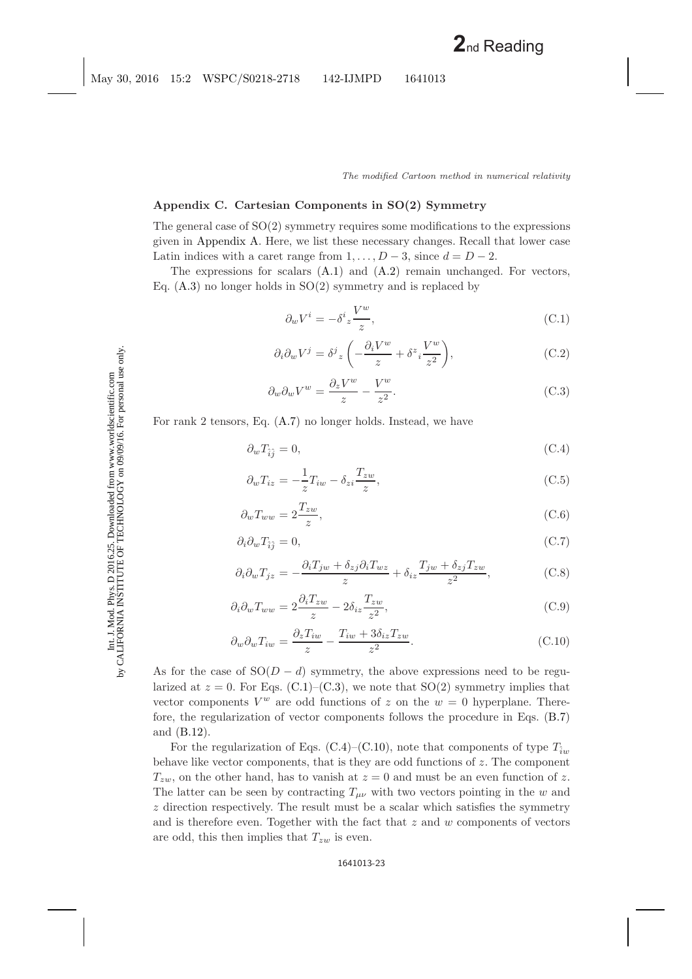# <span id="page-22-0"></span>**Appendix C. Cartesian Components in SO(2) Symmetry**

The general case of SO(2) symmetry requires some modifications to the expressions given in [Appendix A.](#page-17-0) Here, we list these necessary changes. Recall that lower case Latin indices with a caret range from  $1, \ldots, D-3$ , since  $d = D-2$ .

<span id="page-22-1"></span>The expressions for scalars  $(A.1)$  and  $(A.2)$  remain unchanged. For vectors, Eq.  $(A.3)$  no longer holds in  $SO(2)$  symmetry and is replaced by

$$
\partial_w V^i = -\delta^i_z \frac{V^w}{z},\tag{C.1}
$$

$$
\partial_i \partial_w V^j = \delta^j z \left( -\frac{\partial_i V^w}{z} + \delta^z i \frac{V^w}{z^2} \right), \tag{C.2}
$$

$$
\partial_w \partial_w V^w = \frac{\partial_z V^w}{z} - \frac{V^w}{z^2}.
$$
\n(C.3)

<span id="page-22-2"></span>For rank 2 tensors, Eq. [\(A.7\)](#page-17-4) no longer holds. Instead, we have

$$
\partial_w T_{\hat{i}\hat{j}} = 0,\tag{C.4}
$$

$$
\partial_w T_{iz} = -\frac{1}{z} T_{iw} - \delta_{zi} \frac{T_{zw}}{z},\tag{C.5}
$$

$$
\partial_w T_{ww} = 2 \frac{T_{zw}}{z},\tag{C.6}
$$

$$
\partial_i \partial_w T_{\hat{i}\hat{j}} = 0,\tag{C.7}
$$

$$
\partial_i \partial_w T_{jz} = -\frac{\partial_i T_{jw} + \delta_{zj} \partial_i T_{wz}}{z} + \delta_{iz} \frac{T_{jw} + \delta_{zj} T_{zw}}{z^2},\tag{C.8}
$$

$$
\partial_i \partial_w T_{ww} = 2 \frac{\partial_i T_{zw}}{z} - 2 \delta_{iz} \frac{T_{zw}}{z^2},\tag{C.9}
$$

$$
\partial_w \partial_w T_{iw} = \frac{\partial_z T_{iw}}{z} - \frac{T_{iw} + 3\delta_{iz} T_{zw}}{z^2}.
$$
\n(C.10)

As for the case of  $SO(D - d)$  symmetry, the above expressions need to be regularized at  $z = 0$ . For Eqs. [\(C.1\)](#page-22-1)–[\(C.3\)](#page-22-1), we note that SO(2) symmetry implies that vector components  $V^w$  are odd functions of z on the  $w = 0$  hyperplane. Therefore, the regularization of vector components follows the procedure in Eqs. [\(B.7\)](#page-19-3) and [\(B.12\)](#page-20-0).

For the regularization of Eqs. [\(C.4\)](#page-22-2)–[\(C.10\)](#page-22-2), note that components of type  $T_{\hat{i}w}$ behave like vector components, that is they are odd functions of z. The component  $T_{zw}$ , on the other hand, has to vanish at  $z = 0$  and must be an even function of z. The latter can be seen by contracting  $T_{\mu\nu}$  with two vectors pointing in the w and z direction respectively. The result must be a scalar which satisfies the symmetry and is therefore even. Together with the fact that  $z$  and  $w$  components of vectors are odd, this then implies that  $T_{zw}$  is even.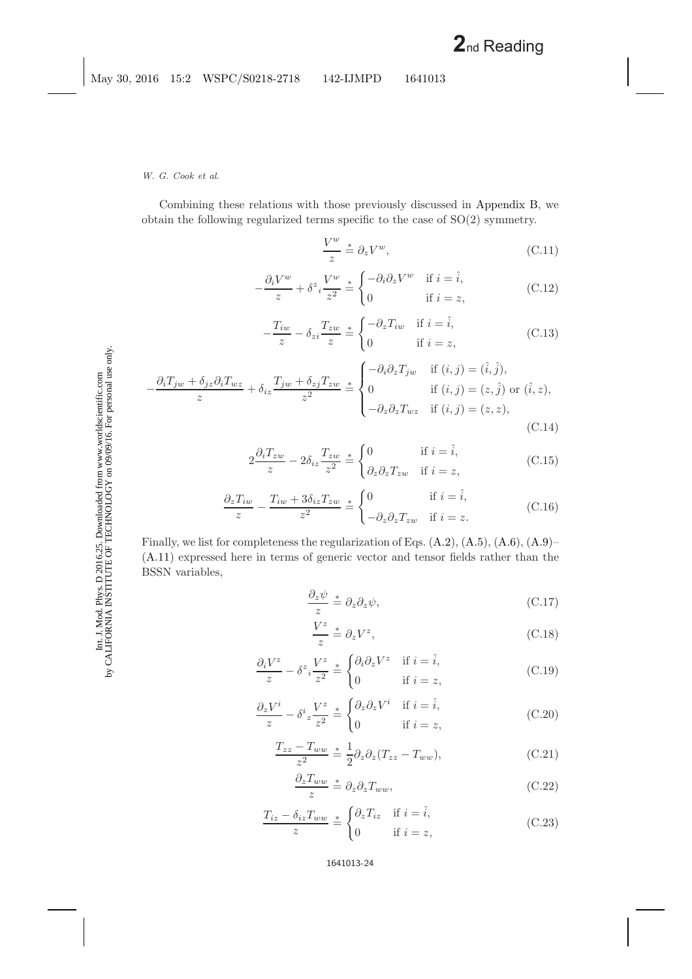*W. G. Cook et al.*

Combining these relations with those previously discussed in [Appendix B,](#page-17-2) we obtain the following regularized terms specific to the case of SO(2) symmetry.

$$
\frac{V^w}{z} \stackrel{*}{=} \partial_z V^w,\tag{C.11}
$$

$$
-\frac{\partial_i V^w}{z} + \delta^z_i \frac{V^w}{z^2} \stackrel{*}{=} \begin{cases} -\partial_i \partial_z V^w & \text{if } i = \hat{i}, \\ 0 & \text{if } i = z, \end{cases}
$$
 (C.12)

$$
-\frac{T_{iw}}{z} - \delta_{zi} \frac{T_{zw}}{z} \stackrel{*}{=} \begin{cases} -\partial_z T_{iw} & \text{if } i = \hat{i}, \\ 0 & \text{if } i = z, \end{cases}
$$
 (C.13)

$$
-\frac{\partial_i T_{jw} + \delta_{jz}\partial_i T_{wz}}{z} + \delta_{iz}\frac{T_{jw} + \delta_{zj}T_{zw}}{z^2} \stackrel{*}{=} \begin{cases}\n-\partial_i \partial_z T_{jw} & \text{if } (i,j) = (\hat{i}, \hat{j}), \\
0 & \text{if } (i,j) = (z, \hat{j}) \text{ or } (\hat{i}, z), \\
-\partial_z \partial_z T_{wz} & \text{if } (i,j) = (z, z),\n\end{cases}
$$
\n(C.14)

$$
2\frac{\partial_i T_{zw}}{z} - 2\delta_{iz}\frac{T_{zw}}{z^2} \stackrel{*}{=} \begin{cases} 0 & \text{if } i = \hat{i}, \\ \partial_z \partial_z T_{zw} & \text{if } i = z, \end{cases}
$$
 (C.15)

$$
\frac{\partial_z T_{iw}}{z} - \frac{T_{iw} + 3\delta_{iz} T_{zw}}{z^2} \stackrel{*}{=} \begin{cases} 0 & \text{if } i = \hat{i}, \\ -\partial_z \partial_z T_{zw} & \text{if } i = z. \end{cases}
$$
 (C.16)

Finally, we list for completeness the regularization of Eqs. [\(A.2\)](#page-17-5), [\(A.5\)](#page-17-5), [\(A.6\)](#page-17-5), [\(A.9\)](#page-17-5)– [\(A.11\)](#page-17-5) expressed here in terms of generic vector and tensor fields rather than the BSSN variables,

$$
\frac{\partial_z \psi}{z} \stackrel{*}{=} \partial_z \partial_z \psi,\tag{C.17}
$$

$$
\frac{V^z}{z} \stackrel{*}{=} \partial_z V^z,\tag{C.18}
$$

$$
\frac{\partial_i V^z}{z} - \delta^z i \frac{V^z}{z^2} \stackrel{*}{=} \begin{cases} \partial_i \partial_z V^z & \text{if } i = \hat{i}, \\ 0 & \text{if } i = z, \end{cases}
$$
 (C.19)

$$
\frac{\partial_z V^i}{z} - \delta^i z \frac{V^z}{z^2} \stackrel{*}{=} \begin{cases} \partial_z \partial_z V^i & \text{if } i = \hat{i}, \\ 0 & \text{if } i = z, \end{cases}
$$
 (C.20)

$$
\frac{T_{zz} - T_{ww}}{z^2} \stackrel{*}{=} \frac{1}{2} \partial_z \partial_z (T_{zz} - T_{ww}), \tag{C.21}
$$

$$
\frac{\partial_z T_{ww}}{z} \stackrel{*}{=} \partial_z \partial_z T_{ww},\tag{C.22}
$$

$$
\frac{T_{iz} - \delta_{iz} T_{ww}}{z} \stackrel{*}{=} \begin{cases} \partial_z T_{iz} & \text{if } i = \hat{i}, \\ 0 & \text{if } i = z, \end{cases}
$$
 (C.23)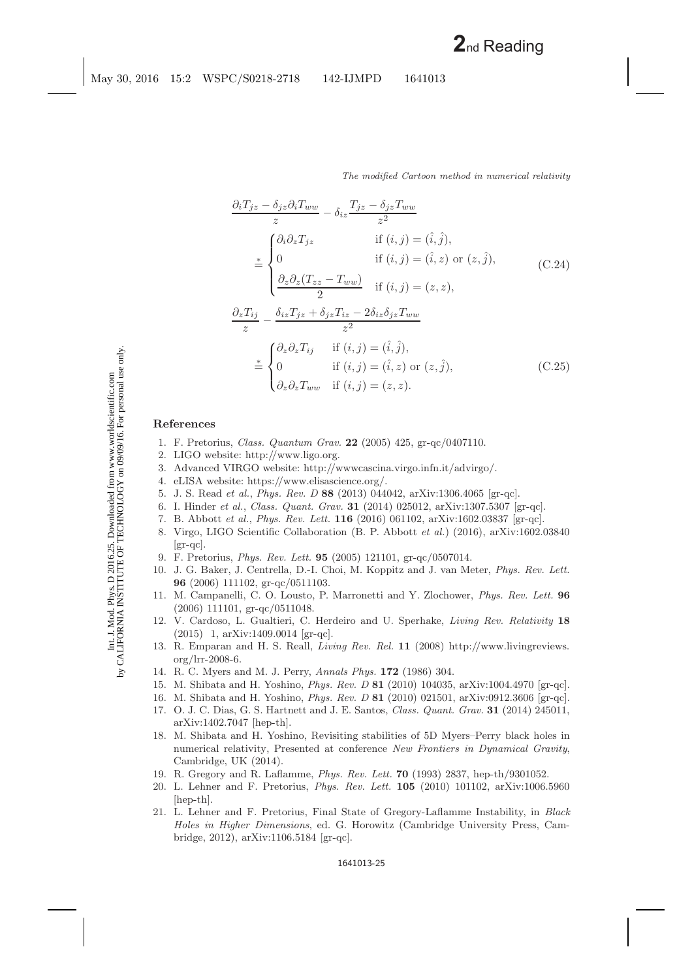$$
\frac{\partial_i T_{jz} - \delta_{jz} \partial_i T_{ww}}{z} - \delta_{iz} \frac{T_{jz} - \delta_{jz} T_{ww}}{z^2}
$$
\n
$$
\stackrel{*}{=} \begin{cases}\n\partial_i \partial_z T_{jz} & \text{if } (i, j) = (\hat{i}, \hat{j}), \\
0 & \text{if } (i, j) = (\hat{i}, z) \text{ or } (z, \hat{j}), \\
\frac{\partial_z \partial_z (T_{zz} - T_{ww})}{2} & \text{if } (i, j) = (z, z), \\
\frac{\partial_z T_{ij}}{z} - \frac{\delta_{iz} T_{jz} + \delta_{jz} T_{iz} - 2\delta_{iz} \delta_{jz} T_{ww}}{z^2} \\
\stackrel{*}{=} \begin{cases}\n\partial_z \partial_z T_{ij} & \text{if } (i, j) = (\hat{i}, \hat{j}), \\
0 & \text{if } (i, j) = (\hat{i}, z) \text{ or } (z, \hat{j}), \\
\partial_z \partial_z T_{ww} & \text{if } (i, j) = (z, z).\n\end{cases} (C.25)
$$

# <span id="page-24-24"></span><span id="page-24-2"></span><span id="page-24-1"></span><span id="page-24-0"></span>**References**

- 1. F. Pretorius, *Class. Quantum Grav.* **22** (2005) 425, gr-qc/0407110.
- <span id="page-24-3"></span>2. LIGO website: http://www.ligo.org.
- <span id="page-24-4"></span>3. Advanced VIRGO website: http://wwwcascina.virgo.infn.it/advirgo/.
- <span id="page-24-5"></span>4. eLISA website: https://www.elisascience.org/.
- <span id="page-24-6"></span>5. J. S. Read *et al.*, *Phys. Rev. D* **88** (2013) 044042, arXiv:1306.4065 [gr-qc].
- <span id="page-24-7"></span>6. I. Hinder *et al.*, *Class. Quant. Grav.* **31** (2014) 025012, arXiv:1307.5307 [gr-qc].
- <span id="page-24-8"></span>7. B. Abbott *et al.*, *Phys. Rev. Lett.* **116** (2016) 061102, arXiv:1602.03837 [gr-qc].
- 8. Virgo, LIGO Scientific Collaboration (B. P. Abbott *et al.*) (2016), arXiv:1602.03840  $|gr-qc|.$
- 9. F. Pretorius, *Phys. Rev. Lett.* **95** (2005) 121101, gr-qc/0507014.
- <span id="page-24-25"></span><span id="page-24-9"></span>10. J. G. Baker, J. Centrella, D.-I. Choi, M. Koppitz and J. van Meter, *Phys. Rev. Lett.* **96** (2006) 111102, gr-qc/0511103.
- <span id="page-24-26"></span><span id="page-24-10"></span>11. M. Campanelli, C. O. Lousto, P. Marronetti and Y. Zlochower, *Phys. Rev. Lett.* **96** (2006) 111101, gr-qc/0511048.
- <span id="page-24-21"></span><span id="page-24-11"></span>12. V. Cardoso, L. Gualtieri, C. Herdeiro and U. Sperhake, *Living Rev. Relativity* **18** (2015) 1, arXiv:1409.0014 [gr-qc].
- <span id="page-24-12"></span>13. R. Emparan and H. S. Reall, *Living Rev. Rel.* **11** (2008) http://www.livingreviews. org/lrr-2008-6.
- <span id="page-24-23"></span><span id="page-24-20"></span><span id="page-24-13"></span>14. R. C. Myers and M. J. Perry, *Annals Phys.* **172** (1986) 304.
- <span id="page-24-14"></span>15. M. Shibata and H. Yoshino, *Phys. Rev. D* **81** (2010) 104035, arXiv:1004.4970 [gr-qc].
- <span id="page-24-15"></span>16. M. Shibata and H. Yoshino, *Phys. Rev. D* **81** (2010) 021501, arXiv:0912.3606 [gr-qc].
- 17. O. J. C. Dias, G. S. Hartnett and J. E. Santos, *Class. Quant. Grav.* **31** (2014) 245011, arXiv:1402.7047 [hep-th].
- <span id="page-24-16"></span>18. M. Shibata and H. Yoshino, Revisiting stabilities of 5D Myers–Perry black holes in numerical relativity, Presented at conference *New Frontiers in Dynamical Gravity*, Cambridge, UK (2014).
- <span id="page-24-18"></span><span id="page-24-17"></span>19. R. Gregory and R. Laflamme, *Phys. Rev. Lett.* **70** (1993) 2837, hep-th/9301052.
- <span id="page-24-22"></span>20. L. Lehner and F. Pretorius, *Phys. Rev. Lett.* **105** (2010) 101102, arXiv:1006.5960 [hep-th].
- <span id="page-24-19"></span>21. L. Lehner and F. Pretorius, Final State of Gregory-Laflamme Instability, in *Black Holes in Higher Dimensions*, ed. G. Horowitz (Cambridge University Press, Cambridge, 2012), arXiv:1106.5184 [gr-qc].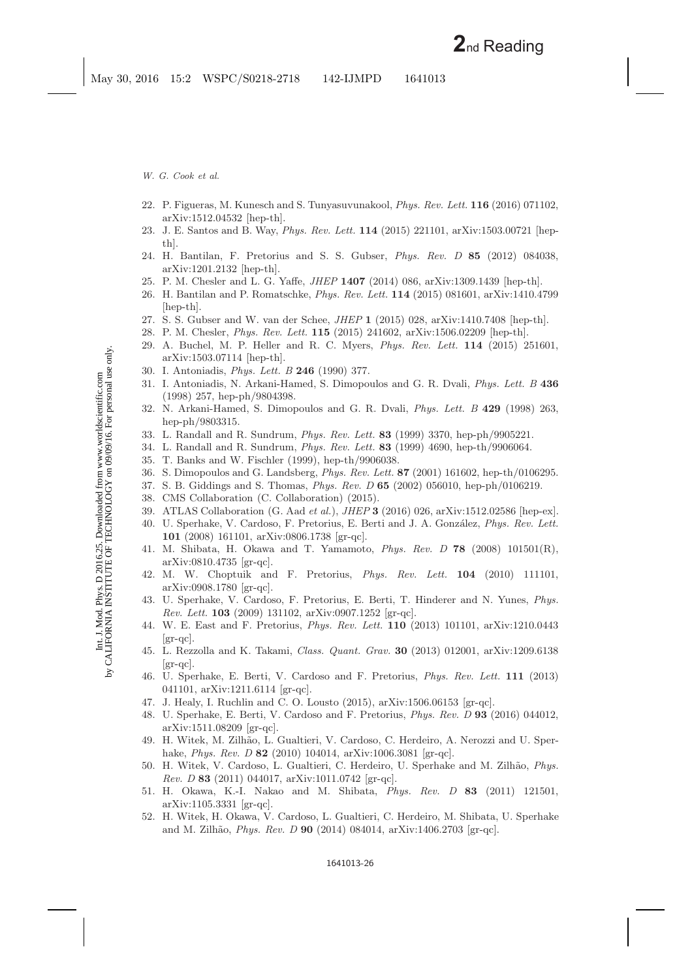- <span id="page-25-17"></span><span id="page-25-1"></span><span id="page-25-0"></span>22. P. Figueras, M. Kunesch and S. Tunyasuvunakool, *Phys. Rev. Lett.* **116** (2016) 071102, arXiv:1512.04532 [hep-th].
- 23. J. E. Santos and B. Way, *Phys. Rev. Lett.* **114** (2015) 221101, arXiv:1503.00721 [hepth].
- <span id="page-25-2"></span>24. H. Bantilan, F. Pretorius and S. S. Gubser, *Phys. Rev. D* **85** (2012) 084038, arXiv:1201.2132 [hep-th].
- <span id="page-25-16"></span>25. P. M. Chesler and L. G. Yaffe, *JHEP* **1407** (2014) 086, arXiv:1309.1439 [hep-th].
- 26. H. Bantilan and P. Romatschke, *Phys. Rev. Lett.* **114** (2015) 081601, arXiv:1410.4799 [hep-th].
- 27. S. S. Gubser and W. van der Schee, *JHEP* **1** (2015) 028, arXiv:1410.7408 [hep-th].
- <span id="page-25-3"></span>28. P. M. Chesler, *Phys. Rev. Lett.* **115** (2015) 241602, arXiv:1506.02209 [hep-th].
- 29. A. Buchel, M. P. Heller and R. C. Myers, *Phys. Rev. Lett.* **114** (2015) 251601, arXiv:1503.07114 [hep-th].
- <span id="page-25-4"></span>30. I. Antoniadis, *Phys. Lett. B* **246** (1990) 377.
- 31. I. Antoniadis, N. Arkani-Hamed, S. Dimopoulos and G. R. Dvali, *Phys. Lett. B* **436** (1998) 257, hep-ph/9804398.
- <span id="page-25-5"></span>32. N. Arkani-Hamed, S. Dimopoulos and G. R. Dvali, *Phys. Lett. B* **429** (1998) 263, hep-ph/9803315.
- <span id="page-25-7"></span><span id="page-25-6"></span>33. L. Randall and R. Sundrum, *Phys. Rev. Lett.* **83** (1999) 3370, hep-ph/9905221.
- 34. L. Randall and R. Sundrum, *Phys. Rev. Lett.* **83** (1999) 4690, hep-th/9906064.
- <span id="page-25-8"></span>35. T. Banks and W. Fischler (1999), hep-th/9906038.
- 36. S. Dimopoulos and G. Landsberg, *Phys. Rev. Lett.* **87** (2001) 161602, hep-th/0106295.
- <span id="page-25-10"></span><span id="page-25-9"></span>37. S. B. Giddings and S. Thomas, *Phys. Rev. D* **65** (2002) 056010, hep-ph/0106219.
- <span id="page-25-12"></span><span id="page-25-11"></span>38. CMS Collaboration (C. Collaboration) (2015).
- 39. ATLAS Collaboration (G. Aad *et al.*), *JHEP* **3** (2016) 026, arXiv:1512.02586 [hep-ex].
- 40. U. Sperhake, V. Cardoso, F. Pretorius, E. Berti and J. A. Gonz´alez, *Phys. Rev. Lett.* **101** (2008) 161101, arXiv:0806.1738 [gr-qc].
- 41. M. Shibata, H. Okawa and T. Yamamoto, *Phys. Rev. D* **78** (2008) 101501(R), arXiv:0810.4735 [gr-qc].
- 42. M. W. Choptuik and F. Pretorius, *Phys. Rev. Lett.* **104** (2010) 111101, arXiv:0908.1780 [gr-qc].
- 43. U. Sperhake, V. Cardoso, F. Pretorius, E. Berti, T. Hinderer and N. Yunes, *Phys. Rev. Lett.* **103** (2009) 131102, arXiv:0907.1252 [gr-qc].
- 44. W. E. East and F. Pretorius, *Phys. Rev. Lett.* **110** (2013) 101101, arXiv:1210.0443  $|gr-qc|$ .
- 45. L. Rezzolla and K. Takami, *Class. Quant. Grav.* **30** (2013) 012001, arXiv:1209.6138  $|gr-qc|$ .
- 46. U. Sperhake, E. Berti, V. Cardoso and F. Pretorius, *Phys. Rev. Lett.* **111** (2013) 041101, arXiv:1211.6114 [gr-qc].
- <span id="page-25-13"></span>47. J. Healy, I. Ruchlin and C. O. Lousto  $(2015)$ , arXiv:1506.06153 [gr-qc].
- 48. U. Sperhake, E. Berti, V. Cardoso and F. Pretorius, *Phys. Rev. D* **93** (2016) 044012, arXiv:1511.08209 [gr-qc].
- <span id="page-25-14"></span>49. H. Witek, M. Zilhão, L. Gualtieri, V. Cardoso, C. Herdeiro, A. Nerozzi and U. Sperhake, *Phys. Rev. D* **82** (2010) 104014, arXiv:1006.3081 [gr-qc].
- 50. H. Witek, V. Cardoso, L. Gualtieri, C. Herdeiro, U. Sperhake and M. Zilh˜ao, *Phys. Rev. D* **83** (2011) 044017, arXiv:1011.0742 [gr-qc].
- <span id="page-25-18"></span>51. H. Okawa, K.-I. Nakao and M. Shibata, *Phys. Rev. D* **83** (2011) 121501, arXiv:1105.3331 [gr-qc].
- <span id="page-25-15"></span>52. H. Witek, H. Okawa, V. Cardoso, L. Gualtieri, C. Herdeiro, M. Shibata, U. Sperhake and M. Zilh˜ao, *Phys. Rev. D* **90** (2014) 084014, arXiv:1406.2703 [gr-qc].